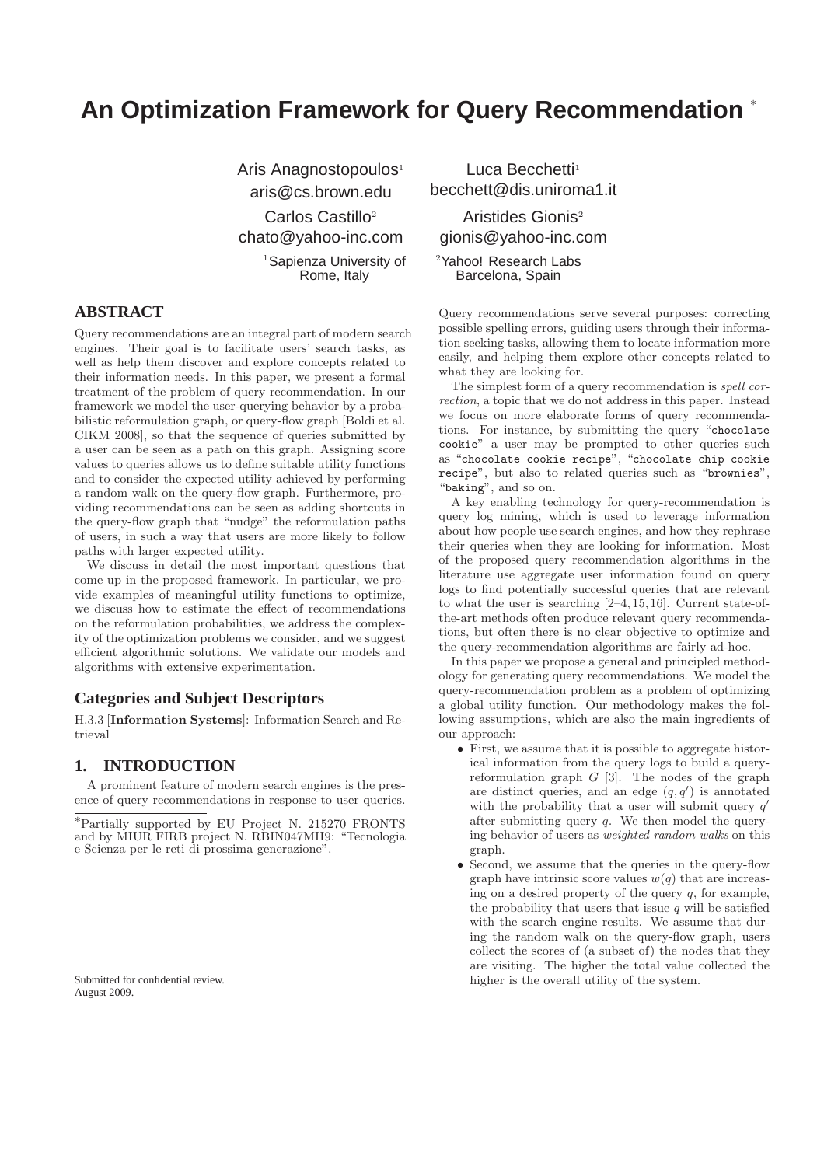# **An Optimization Framework for Query Recommendation** <sup>∗</sup>

Aris Anagnostopoulos<sup>1</sup> aris@cs.brown.edu Carlos Castillo<sup>2</sup> chato@yahoo-inc.com <sup>1</sup>Sapienza University of  $2^2$ Yahoo! Research Labs

# **ABSTRACT**

Query recommendations are an integral part of modern search engines. Their goal is to facilitate users' search tasks, as well as help them discover and explore concepts related to their information needs. In this paper, we present a formal treatment of the problem of query recommendation. In our framework we model the user-querying behavior by a probabilistic reformulation graph, or query-flow graph [Boldi et al. CIKM 2008], so that the sequence of queries submitted by a user can be seen as a path on this graph. Assigning score values to queries allows us to define suitable utility functions and to consider the expected utility achieved by performing a random walk on the query-flow graph. Furthermore, providing recommendations can be seen as adding shortcuts in the query-flow graph that "nudge" the reformulation paths of users, in such a way that users are more likely to follow paths with larger expected utility.

We discuss in detail the most important questions that come up in the proposed framework. In particular, we provide examples of meaningful utility functions to optimize, we discuss how to estimate the effect of recommendations on the reformulation probabilities, we address the complexity of the optimization problems we consider, and we suggest efficient algorithmic solutions. We validate our models and algorithms with extensive experimentation.

# **Categories and Subject Descriptors**

H.3.3 [Information Systems]: Information Search and Retrieval

# **1. INTRODUCTION**

A prominent feature of modern search engines is the presence of query recommendations in response to user queries.

<sup>∗</sup>Partially supported by EU Project N. 215270 FRONTS and by MIUR FIRB project N. RBIN047MH9: "Tecnologia e Scienza per le reti di prossima generazione".

Submitted for confidential review. August 2009.

Luca Becchetti<sup>1</sup> becchett@dis.uniroma1.it

Aristides Gionis<sup>2</sup> gionis@yahoo-inc.com

Rome, Italy Barcelona, Spain

Query recommendations serve several purposes: correcting possible spelling errors, guiding users through their information seeking tasks, allowing them to locate information more easily, and helping them explore other concepts related to what they are looking for.

The simplest form of a query recommendation is spell correction, a topic that we do not address in this paper. Instead we focus on more elaborate forms of query recommendations. For instance, by submitting the query "chocolate cookie" a user may be prompted to other queries such as "chocolate cookie recipe", "chocolate chip cookie recipe", but also to related queries such as "brownies", "baking", and so on.

A key enabling technology for query-recommendation is query log mining, which is used to leverage information about how people use search engines, and how they rephrase their queries when they are looking for information. Most of the proposed query recommendation algorithms in the literature use aggregate user information found on query logs to find potentially successful queries that are relevant to what the user is searching [2–4, 15, 16]. Current state-ofthe-art methods often produce relevant query recommendations, but often there is no clear objective to optimize and the query-recommendation algorithms are fairly ad-hoc.

In this paper we propose a general and principled methodology for generating query recommendations. We model the query-recommendation problem as a problem of optimizing a global utility function. Our methodology makes the following assumptions, which are also the main ingredients of our approach:

- First, we assume that it is possible to aggregate historical information from the query logs to build a queryreformulation graph  $G$  [3]. The nodes of the graph are distinct queries, and an edge  $(q, q')$  is annotated with the probability that a user will submit query  $q'$ after submitting query  $q$ . We then model the querying behavior of users as weighted random walks on this graph.
- Second, we assume that the queries in the query-flow graph have intrinsic score values  $w(q)$  that are increasing on a desired property of the query  $q$ , for example, the probability that users that issue  $q$  will be satisfied with the search engine results. We assume that during the random walk on the query-flow graph, users collect the scores of (a subset of) the nodes that they are visiting. The higher the total value collected the higher is the overall utility of the system.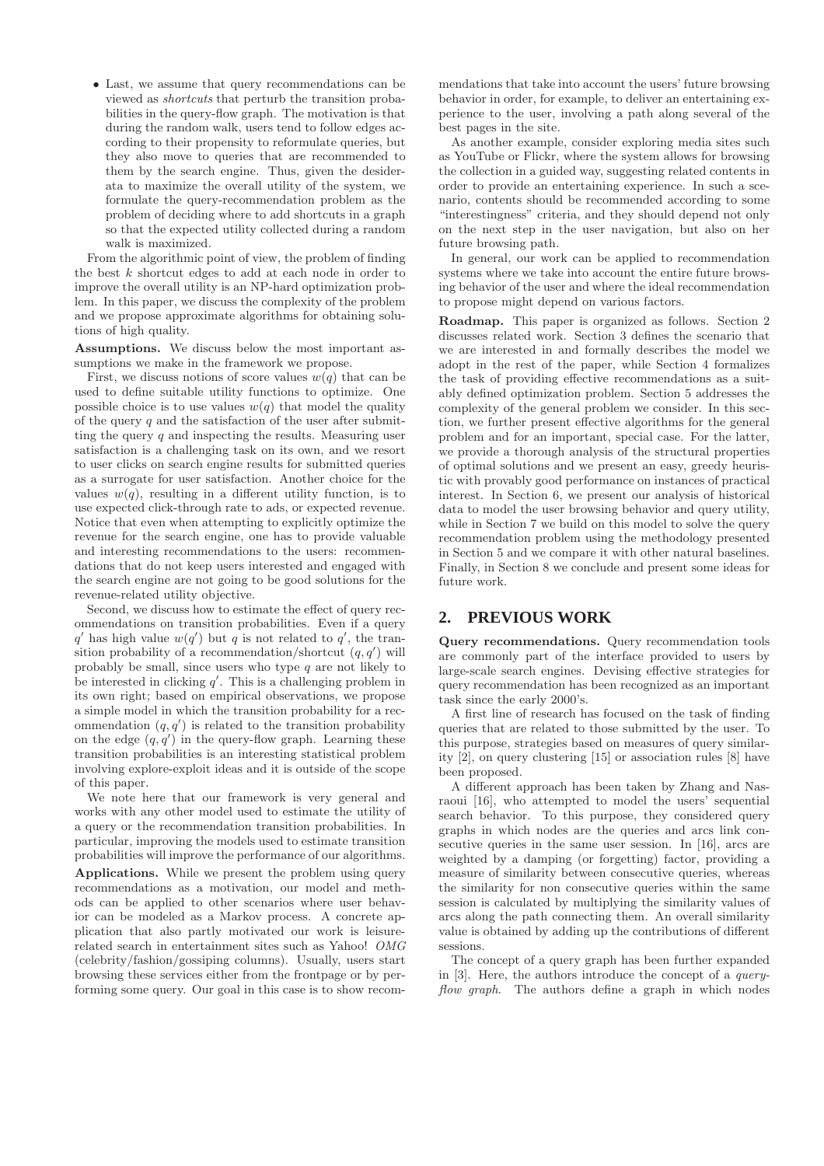• Last, we assume that query recommendations can be viewed as shortcuts that perturb the transition probabilities in the query-flow graph. The motivation is that during the random walk, users tend to follow edges according to their propensity to reformulate queries, but they also move to queries that are recommended to them by the search engine. Thus, given the desiderata to maximize the overall utility of the system, we formulate the query-recommendation problem as the problem of deciding where to add shortcuts in a graph so that the expected utility collected during a random walk is maximized.

From the algorithmic point of view, the problem of finding the best k shortcut edges to add at each node in order to improve the overall utility is an NP-hard optimization problem. In this paper, we discuss the complexity of the problem and we propose approximate algorithms for obtaining solutions of high quality.

Assumptions. We discuss below the most important assumptions we make in the framework we propose.

First, we discuss notions of score values  $w(q)$  that can be used to define suitable utility functions to optimize. One possible choice is to use values  $w(q)$  that model the quality of the query  $q$  and the satisfaction of the user after submitting the query  $q$  and inspecting the results. Measuring user satisfaction is a challenging task on its own, and we resort to user clicks on search engine results for submitted queries as a surrogate for user satisfaction. Another choice for the values  $w(q)$ , resulting in a different utility function, is to use expected click-through rate to ads, or expected revenue. Notice that even when attempting to explicitly optimize the revenue for the search engine, one has to provide valuable and interesting recommendations to the users: recommendations that do not keep users interested and engaged with the search engine are not going to be good solutions for the revenue-related utility objective.

Second, we discuss how to estimate the effect of query recommendations on transition probabilities. Even if a query  $q'$  has high value  $w(q')$  but q is not related to  $q'$ , the transition probability of a recommendation/shortcut  $(q, q')$  will probably be small, since users who type  $q$  are not likely to be interested in clicking  $q'$ . This is a challenging problem in its own right; based on empirical observations, we propose a simple model in which the transition probability for a recommendation  $(q, q')$  is related to the transition probability on the edge  $(q, q')$  in the query-flow graph. Learning these transition probabilities is an interesting statistical problem involving explore-exploit ideas and it is outside of the scope of this paper.

We note here that our framework is very general and works with any other model used to estimate the utility of a query or the recommendation transition probabilities. In particular, improving the models used to estimate transition probabilities will improve the performance of our algorithms.

Applications. While we present the problem using query recommendations as a motivation, our model and methods can be applied to other scenarios where user behavior can be modeled as a Markov process. A concrete application that also partly motivated our work is leisurerelated search in entertainment sites such as Yahoo! OMG (celebrity/fashion/gossiping columns). Usually, users start browsing these services either from the frontpage or by performing some query. Our goal in this case is to show recom-

mendations that take into account the users' future browsing behavior in order, for example, to deliver an entertaining experience to the user, involving a path along several of the best pages in the site.

As another example, consider exploring media sites such as YouTube or Flickr, where the system allows for browsing the collection in a guided way, suggesting related contents in order to provide an entertaining experience. In such a scenario, contents should be recommended according to some "interestingness" criteria, and they should depend not only on the next step in the user navigation, but also on her future browsing path.

In general, our work can be applied to recommendation systems where we take into account the entire future browsing behavior of the user and where the ideal recommendation to propose might depend on various factors.

Roadmap. This paper is organized as follows. Section 2 discusses related work. Section 3 defines the scenario that we are interested in and formally describes the model we adopt in the rest of the paper, while Section 4 formalizes the task of providing effective recommendations as a suitably defined optimization problem. Section 5 addresses the complexity of the general problem we consider. In this section, we further present effective algorithms for the general problem and for an important, special case. For the latter, we provide a thorough analysis of the structural properties of optimal solutions and we present an easy, greedy heuristic with provably good performance on instances of practical interest. In Section 6, we present our analysis of historical data to model the user browsing behavior and query utility, while in Section 7 we build on this model to solve the query recommendation problem using the methodology presented in Section 5 and we compare it with other natural baselines. Finally, in Section 8 we conclude and present some ideas for future work.

# **2. PREVIOUS WORK**

Query recommendations. Query recommendation tools are commonly part of the interface provided to users by large-scale search engines. Devising effective strategies for query recommendation has been recognized as an important task since the early 2000's.

A first line of research has focused on the task of finding queries that are related to those submitted by the user. To this purpose, strategies based on measures of query similarity [2], on query clustering [15] or association rules [8] have been proposed.

A different approach has been taken by Zhang and Nasraoui [16], who attempted to model the users' sequential search behavior. To this purpose, they considered query graphs in which nodes are the queries and arcs link consecutive queries in the same user session. In [16], arcs are weighted by a damping (or forgetting) factor, providing a measure of similarity between consecutive queries, whereas the similarity for non consecutive queries within the same session is calculated by multiplying the similarity values of arcs along the path connecting them. An overall similarity value is obtained by adding up the contributions of different sessions.

The concept of a query graph has been further expanded in [3]. Here, the authors introduce the concept of a queryflow graph. The authors define a graph in which nodes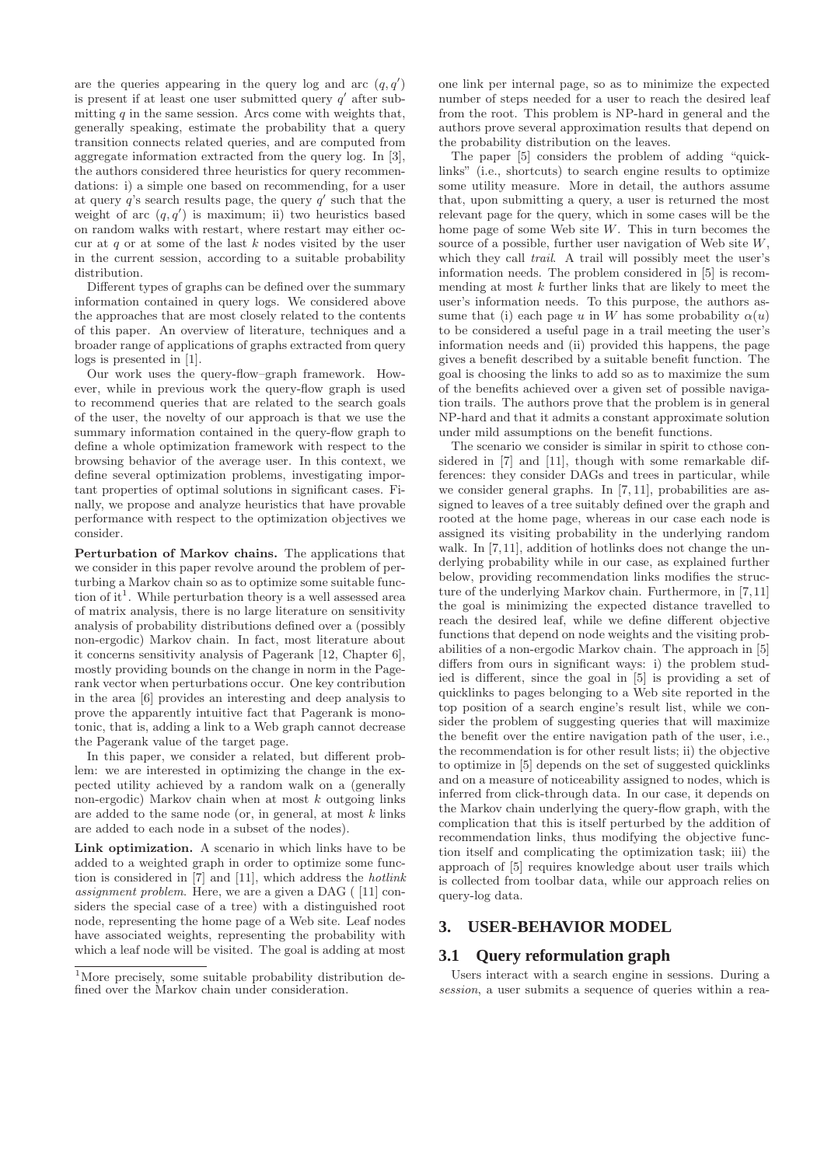are the queries appearing in the query log and arc  $(q, q')$ is present if at least one user submitted query  $q'$  after submitting  $q$  in the same session. Arcs come with weights that, generally speaking, estimate the probability that a query transition connects related queries, and are computed from aggregate information extracted from the query log. In [3], the authors considered three heuristics for query recommendations: i) a simple one based on recommending, for a user at query  $q$ 's search results page, the query  $q'$  such that the weight of arc  $(q, q')$  is maximum; ii) two heuristics based on random walks with restart, where restart may either occur at  $q$  or at some of the last  $k$  nodes visited by the user in the current session, according to a suitable probability distribution.

Different types of graphs can be defined over the summary information contained in query logs. We considered above the approaches that are most closely related to the contents of this paper. An overview of literature, techniques and a broader range of applications of graphs extracted from query logs is presented in [1].

Our work uses the query-flow–graph framework. However, while in previous work the query-flow graph is used to recommend queries that are related to the search goals of the user, the novelty of our approach is that we use the summary information contained in the query-flow graph to define a whole optimization framework with respect to the browsing behavior of the average user. In this context, we define several optimization problems, investigating important properties of optimal solutions in significant cases. Finally, we propose and analyze heuristics that have provable performance with respect to the optimization objectives we consider.

Perturbation of Markov chains. The applications that we consider in this paper revolve around the problem of perturbing a Markov chain so as to optimize some suitable function of it<sup>1</sup>. While perturbation theory is a well assessed area of matrix analysis, there is no large literature on sensitivity analysis of probability distributions defined over a (possibly non-ergodic) Markov chain. In fact, most literature about it concerns sensitivity analysis of Pagerank [12, Chapter 6], mostly providing bounds on the change in norm in the Pagerank vector when perturbations occur. One key contribution in the area [6] provides an interesting and deep analysis to prove the apparently intuitive fact that Pagerank is monotonic, that is, adding a link to a Web graph cannot decrease the Pagerank value of the target page.

In this paper, we consider a related, but different problem: we are interested in optimizing the change in the expected utility achieved by a random walk on a (generally non-ergodic) Markov chain when at most  $k$  outgoing links are added to the same node (or, in general, at most  $k$  links are added to each node in a subset of the nodes).

Link optimization. A scenario in which links have to be added to a weighted graph in order to optimize some function is considered in [7] and [11], which address the hotlink assignment problem. Here, we are a given a DAG ( [11] considers the special case of a tree) with a distinguished root node, representing the home page of a Web site. Leaf nodes have associated weights, representing the probability with which a leaf node will be visited. The goal is adding at most

one link per internal page, so as to minimize the expected number of steps needed for a user to reach the desired leaf from the root. This problem is NP-hard in general and the authors prove several approximation results that depend on the probability distribution on the leaves.

The paper [5] considers the problem of adding "quicklinks" (i.e., shortcuts) to search engine results to optimize some utility measure. More in detail, the authors assume that, upon submitting a query, a user is returned the most relevant page for the query, which in some cases will be the home page of some Web site W. This in turn becomes the source of a possible, further user navigation of Web site  $W$ , which they call *trail*. A trail will possibly meet the user's information needs. The problem considered in [5] is recommending at most  $k$  further links that are likely to meet the user's information needs. To this purpose, the authors assume that (i) each page u in W has some probability  $\alpha(u)$ to be considered a useful page in a trail meeting the user's information needs and (ii) provided this happens, the page gives a benefit described by a suitable benefit function. The goal is choosing the links to add so as to maximize the sum of the benefits achieved over a given set of possible navigation trails. The authors prove that the problem is in general NP-hard and that it admits a constant approximate solution under mild assumptions on the benefit functions.

The scenario we consider is similar in spirit to cthose considered in [7] and [11], though with some remarkable differences: they consider DAGs and trees in particular, while we consider general graphs. In [7, 11], probabilities are assigned to leaves of a tree suitably defined over the graph and rooted at the home page, whereas in our case each node is assigned its visiting probability in the underlying random walk. In [7,11], addition of hotlinks does not change the underlying probability while in our case, as explained further below, providing recommendation links modifies the structure of the underlying Markov chain. Furthermore, in [7,11] the goal is minimizing the expected distance travelled to reach the desired leaf, while we define different objective functions that depend on node weights and the visiting probabilities of a non-ergodic Markov chain. The approach in [5] differs from ours in significant ways: i) the problem studied is different, since the goal in [5] is providing a set of quicklinks to pages belonging to a Web site reported in the top position of a search engine's result list, while we consider the problem of suggesting queries that will maximize the benefit over the entire navigation path of the user, i.e., the recommendation is for other result lists; ii) the objective to optimize in [5] depends on the set of suggested quicklinks and on a measure of noticeability assigned to nodes, which is inferred from click-through data. In our case, it depends on the Markov chain underlying the query-flow graph, with the complication that this is itself perturbed by the addition of recommendation links, thus modifying the objective function itself and complicating the optimization task; iii) the approach of [5] requires knowledge about user trails which is collected from toolbar data, while our approach relies on query-log data.

# **3. USER-BEHAVIOR MODEL**

# **3.1 Query reformulation graph**

Users interact with a search engine in sessions. During a session, a user submits a sequence of queries within a rea-

<sup>&</sup>lt;sup>1</sup>More precisely, some suitable probability distribution defined over the Markov chain under consideration.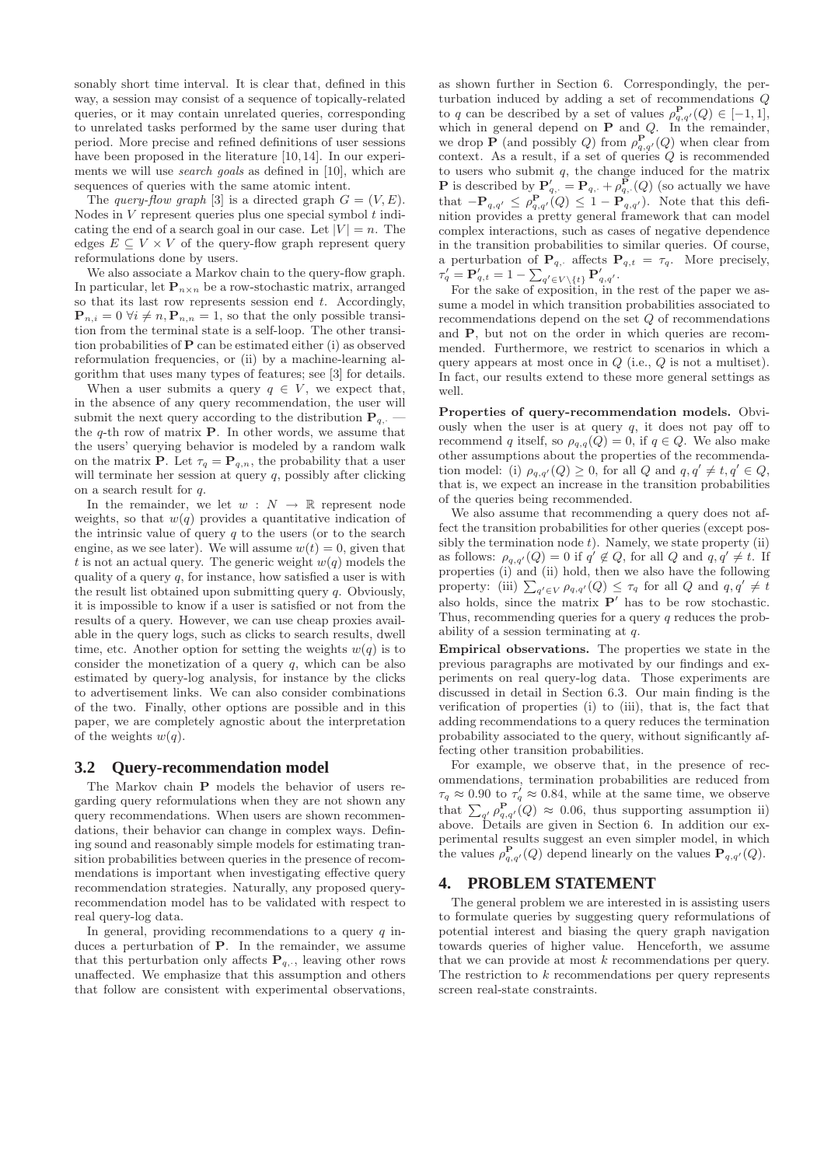sonably short time interval. It is clear that, defined in this way, a session may consist of a sequence of topically-related queries, or it may contain unrelated queries, corresponding to unrelated tasks performed by the same user during that period. More precise and refined definitions of user sessions have been proposed in the literature [10, 14]. In our experiments we will use search goals as defined in [10], which are sequences of queries with the same atomic intent.

The *query-flow graph* [3] is a directed graph  $G = (V, E)$ . Nodes in  $V$  represent queries plus one special symbol  $t$  indicating the end of a search goal in our case. Let  $|V| = n$ . The edges  $E \subseteq V \times V$  of the query-flow graph represent query reformulations done by users.

We also associate a Markov chain to the query-flow graph. In particular, let  $\mathbf{P}_{n\times n}$  be a row-stochastic matrix, arranged so that its last row represents session end  $t$ . Accordingly,  $\mathbf{P}_{n,i} = 0 \ \forall i \neq n, \mathbf{P}_{n,n} = 1$ , so that the only possible transition from the terminal state is a self-loop. The other transition probabilities of P can be estimated either (i) as observed reformulation frequencies, or (ii) by a machine-learning algorithm that uses many types of features; see [3] for details.

When a user submits a query  $q \in V$ , we expect that, in the absence of any query recommendation, the user will submit the next query according to the distribution  $P_{q}$ . the  $q$ -th row of matrix **P**. In other words, we assume that the users' querying behavior is modeled by a random walk on the matrix **P**. Let  $\tau_q = \mathbf{P}_{q,n}$ , the probability that a user will terminate her session at query q, possibly after clicking on a search result for q.

In the remainder, we let  $w : N \to \mathbb{R}$  represent node weights, so that  $w(q)$  provides a quantitative indication of the intrinsic value of query  $q$  to the users (or to the search engine, as we see later). We will assume  $w(t) = 0$ , given that t is not an actual query. The generic weight  $w(q)$  models the quality of a query  $q$ , for instance, how satisfied a user is with the result list obtained upon submitting query q. Obviously, it is impossible to know if a user is satisfied or not from the results of a query. However, we can use cheap proxies available in the query logs, such as clicks to search results, dwell time, etc. Another option for setting the weights  $w(q)$  is to consider the monetization of a query  $q$ , which can be also estimated by query-log analysis, for instance by the clicks to advertisement links. We can also consider combinations of the two. Finally, other options are possible and in this paper, we are completely agnostic about the interpretation of the weights  $w(q)$ .

#### **3.2 Query-recommendation model**

The Markov chain P models the behavior of users regarding query reformulations when they are not shown any query recommendations. When users are shown recommendations, their behavior can change in complex ways. Defining sound and reasonably simple models for estimating transition probabilities between queries in the presence of recommendations is important when investigating effective query recommendation strategies. Naturally, any proposed queryrecommendation model has to be validated with respect to real query-log data.

In general, providing recommendations to a query  $q$  induces a perturbation of P. In the remainder, we assume that this perturbation only affects  $P_{q,\cdot}$ , leaving other rows unaffected. We emphasize that this assumption and others that follow are consistent with experimental observations,

as shown further in Section 6. Correspondingly, the perturbation induced by adding a set of recommendations Q to q can be described by a set of values  $\rho_{q,q'}^{\mathbf{P}}(Q) \in [-1,1],$ which in general depend on  $P$  and  $Q$ . In the remainder, we drop **P** (and possibly *Q*) from  $\rho_{q,q'}^{\mathbf{P}}(Q)$  when clear from context. As a result, if a set of queries  $Q$  is recommended to users who submit q, the change induced for the matrix **P** is described by  $\mathbf{P}'_{q,+} = \mathbf{P}_{q,+} + \rho_{q,+}^{\mathbf{P}}(Q)$  (so actually we have that  $-\mathbf{P}_{q,q'} \leq \rho_{q,q'}^{\mathbf{P}}(Q) \leq 1-\mathbf{P}_{q,q'}).$  Note that this definition provides a pretty general framework that can model complex interactions, such as cases of negative dependence in the transition probabilities to similar queries. Of course, a perturbation of  $P_{q, \cdot}$  affects  $P_{q, t} = \tau_q$ . More precisely,  $\tau'_q = \mathbf{P}_{q,t}' = 1 - \sum_{q' \in V \setminus \{t\}} \mathbf{P}_{q,q'}'.$ 

For the sake of exposition, in the rest of the paper we assume a model in which transition probabilities associated to recommendations depend on the set Q of recommendations and P, but not on the order in which queries are recommended. Furthermore, we restrict to scenarios in which a query appears at most once in Q (i.e., Q is not a multiset). In fact, our results extend to these more general settings as well.

Properties of query-recommendation models. Obviously when the user is at query  $q$ , it does not pay off to recommend q itself, so  $\rho_{q,q}(Q) = 0$ , if  $q \in Q$ . We also make other assumptions about the properties of the recommendation model: (i)  $\rho_{q,q'}(Q) \geq 0$ , for all Q and  $q,q' \neq t, q' \in Q$ , that is, we expect an increase in the transition probabilities of the queries being recommended.

We also assume that recommending a query does not affect the transition probabilities for other queries (except possibly the termination node  $t$ ). Namely, we state property (ii) as follows:  $\rho_{q,q'}(Q) = 0$  if  $q' \notin Q$ , for all Q and  $q, q' \neq t$ . If properties (i) and (ii) hold, then we also have the following property: (iii)  $\sum_{q' \in V} \rho_{q,q'}(Q) \leq \tau_q$  for all Q and  $q, q' \neq t$ also holds, since the matrix  $P'$  has to be row stochastic. Thus, recommending queries for a query q reduces the probability of a session terminating at  $q$ .

Empirical observations. The properties we state in the previous paragraphs are motivated by our findings and experiments on real query-log data. Those experiments are discussed in detail in Section 6.3. Our main finding is the verification of properties (i) to (iii), that is, the fact that adding recommendations to a query reduces the termination probability associated to the query, without significantly affecting other transition probabilities.

For example, we observe that, in the presence of recommendations, termination probabilities are reduced from  $\tau_q \approx 0.90$  to  $\tau'_q \approx 0.84$ , while at the same time, we observe that  $\sum_{q'} \rho_{q,q'}^{\mathbf{P}}(Q) \approx 0.06$ , thus supporting assumption ii) above. Details are given in Section 6. In addition our experimental results suggest an even simpler model, in which the values  $\rho_{q,q'}^{\mathbf{P}}(Q)$  depend linearly on the values  $\mathbf{P}_{q,q'}(Q)$ .

#### **4. PROBLEM STATEMENT**

The general problem we are interested in is assisting users to formulate queries by suggesting query reformulations of potential interest and biasing the query graph navigation towards queries of higher value. Henceforth, we assume that we can provide at most  $k$  recommendations per query. The restriction to  $k$  recommendations per query represents screen real-state constraints.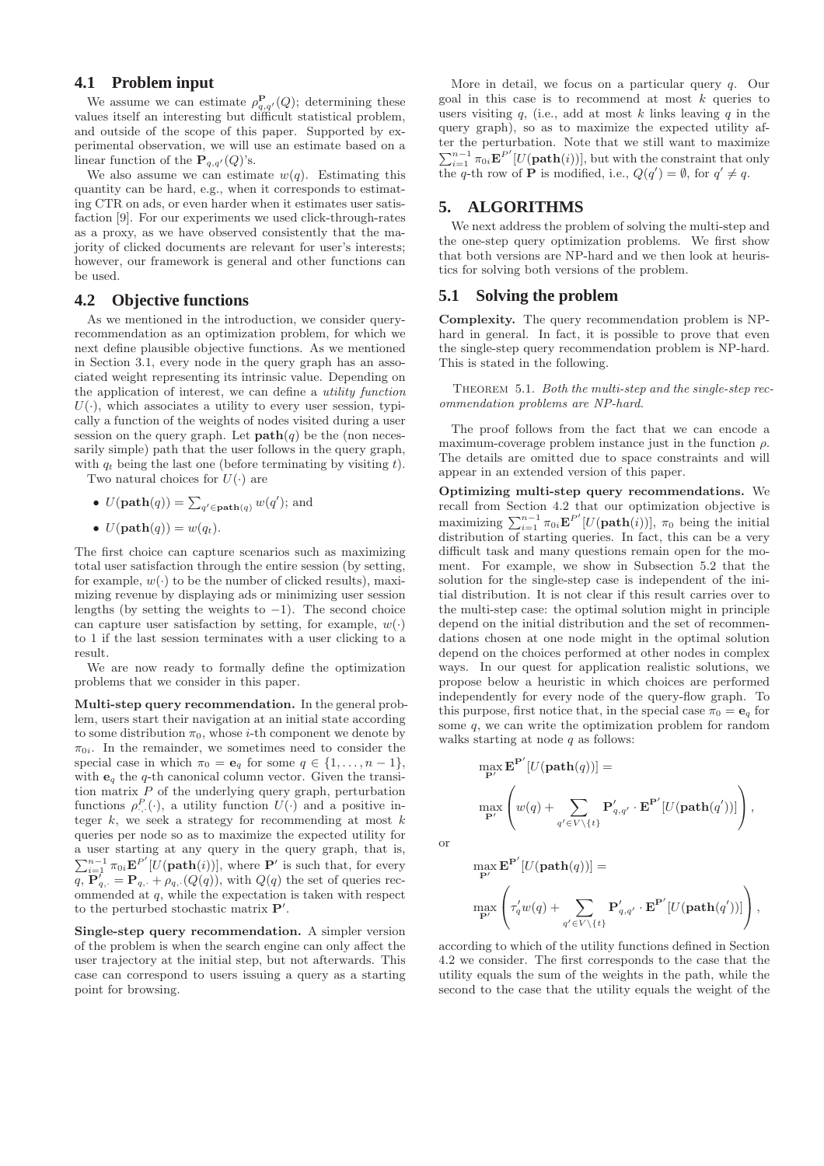## **4.1 Problem input**

We assume we can estimate  $\rho_{q,q'}^{\mathbf{P}}(Q)$ ; determining these values itself an interesting but difficult statistical problem, and outside of the scope of this paper. Supported by experimental observation, we will use an estimate based on a linear function of the  $\mathbf{P}_{q,q'}(Q)$ 's.

We also assume we can estimate  $w(q)$ . Estimating this quantity can be hard, e.g., when it corresponds to estimating CTR on ads, or even harder when it estimates user satisfaction [9]. For our experiments we used click-through-rates as a proxy, as we have observed consistently that the majority of clicked documents are relevant for user's interests; however, our framework is general and other functions can be used.

#### **4.2 Objective functions**

As we mentioned in the introduction, we consider queryrecommendation as an optimization problem, for which we next define plausible objective functions. As we mentioned in Section 3.1, every node in the query graph has an associated weight representing its intrinsic value. Depending on the application of interest, we can define a utility function  $U(\cdot)$ , which associates a utility to every user session, typically a function of the weights of nodes visited during a user session on the query graph. Let  $\textbf{path}(q)$  be the (non necessarily simple) path that the user follows in the query graph, with  $q_t$  being the last one (before terminating by visiting t).

Two natural choices for  $U(\cdot)$  are

- $U(\textbf{path}(q)) = \sum_{q' \in \textbf{path}(q)} w(q')$ ; and
- $U(\text{path}(q)) = w(q_t)$ .

The first choice can capture scenarios such as maximizing total user satisfaction through the entire session (by setting, for example,  $w(\cdot)$  to be the number of clicked results), maximizing revenue by displaying ads or minimizing user session lengths (by setting the weights to  $-1$ ). The second choice can capture user satisfaction by setting, for example,  $w(\cdot)$ to 1 if the last session terminates with a user clicking to a result.

We are now ready to formally define the optimization problems that we consider in this paper.

Multi-step query recommendation. In the general problem, users start their navigation at an initial state according to some distribution  $\pi_0$ , whose *i*-th component we denote by  $\pi_{0i}$ . In the remainder, we sometimes need to consider the special case in which  $\pi_0 = \mathbf{e}_q$  for some  $q \in \{1, \ldots, n-1\}$ , with  $e_q$  the q-th canonical column vector. Given the transition matrix P of the underlying query graph, perturbation functions  $\rho^P_{\cdot,\cdot}(\cdot)$ , a utility function  $U(\cdot)$  and a positive integer  $k$ , we seek a strategy for recommending at most  $k$ queries per node so as to maximize the expected utility for a user starting at any query in the query graph, that is,  $\sum_{i=1}^{n-1} \pi_{0i} \mathbf{E}^{P'}[U(\mathbf{path}(i))],$  where **P'** is such that, for every  $q, \overline{P}_{q,\cdot}^{\prime} = P_{q,\cdot} + \rho_{q,\cdot}(Q(q)),$  with  $Q(q)$  the set of queries recommended at q, while the expectation is taken with respect to the perturbed stochastic matrix  $P'$ .

Single-step query recommendation. A simpler version of the problem is when the search engine can only affect the user trajectory at the initial step, but not afterwards. This case can correspond to users issuing a query as a starting point for browsing.

More in detail, we focus on a particular query  $q$ . Our goal in this case is to recommend at most  $k$  queries to users visiting  $q$ , (i.e., add at most  $k$  links leaving  $q$  in the query graph), so as to maximize the expected utility after the perturbation. Note that we still want to maximize  $\sum_{i=1}^{n-1} \widehat{\pi}_{0i} \mathbf{E}^{P'}[U(\mathbf{path}(i))],$  but with the constraint that only the q-th row of **P** is modified, i.e.,  $Q(q') = \emptyset$ , for  $q' \neq q$ .

# **5. ALGORITHMS**

We next address the problem of solving the multi-step and the one-step query optimization problems. We first show that both versions are NP-hard and we then look at heuristics for solving both versions of the problem.

## **5.1 Solving the problem**

Complexity. The query recommendation problem is NPhard in general. In fact, it is possible to prove that even the single-step query recommendation problem is NP-hard. This is stated in the following.

THEOREM 5.1. Both the multi-step and the single-step recommendation problems are NP-hard.

The proof follows from the fact that we can encode a maximum-coverage problem instance just in the function  $\rho$ . The details are omitted due to space constraints and will appear in an extended version of this paper.

Optimizing multi-step query recommendations. We recall from Section 4.2 that our optimization objective is maximizing  $\sum_{i=1}^{n-1} \pi_{0i} \mathbf{E}^{P'}[U(\mathbf{path}(i))]$ ,  $\pi_0$  being the initial distribution of starting queries. In fact, this can be a very difficult task and many questions remain open for the moment. For example, we show in Subsection 5.2 that the solution for the single-step case is independent of the initial distribution. It is not clear if this result carries over to the multi-step case: the optimal solution might in principle depend on the initial distribution and the set of recommendations chosen at one node might in the optimal solution depend on the choices performed at other nodes in complex ways. In our quest for application realistic solutions, we propose below a heuristic in which choices are performed independently for every node of the query-flow graph. To this purpose, first notice that, in the special case  $\pi_0 = \mathbf{e}_q$  for some q, we can write the optimization problem for random walks starting at node  $q$  as follows:

$$
\begin{aligned} & \max_{\mathbf{P}'} \mathbf{E}^{\mathbf{P}'}[U(\mathbf{path}(q))] = \\ & \max_{\mathbf{P}'} \left(w(q) + \sum_{q' \in V \backslash \{t\}} \mathbf{P}_{q,q'}' \cdot \mathbf{E}^{\mathbf{P}'}[U(\mathbf{path}(q'))]\right), \end{aligned}
$$

or

$$
\begin{aligned} & \max_{\mathbf{P}'} \mathbf{E}^{\mathbf{P}'}[U(\mathbf{path}(q))] = \\ & \max_{\mathbf{P}'} \left( \tau_q' w(q) + \sum_{q' \in V \backslash \{t\}} \mathbf{P}_{q,q'}' \cdot \mathbf{E}^{\mathbf{P}'}[U(\mathbf{path}(q'))] \right), \end{aligned}
$$

according to which of the utility functions defined in Section 4.2 we consider. The first corresponds to the case that the utility equals the sum of the weights in the path, while the second to the case that the utility equals the weight of the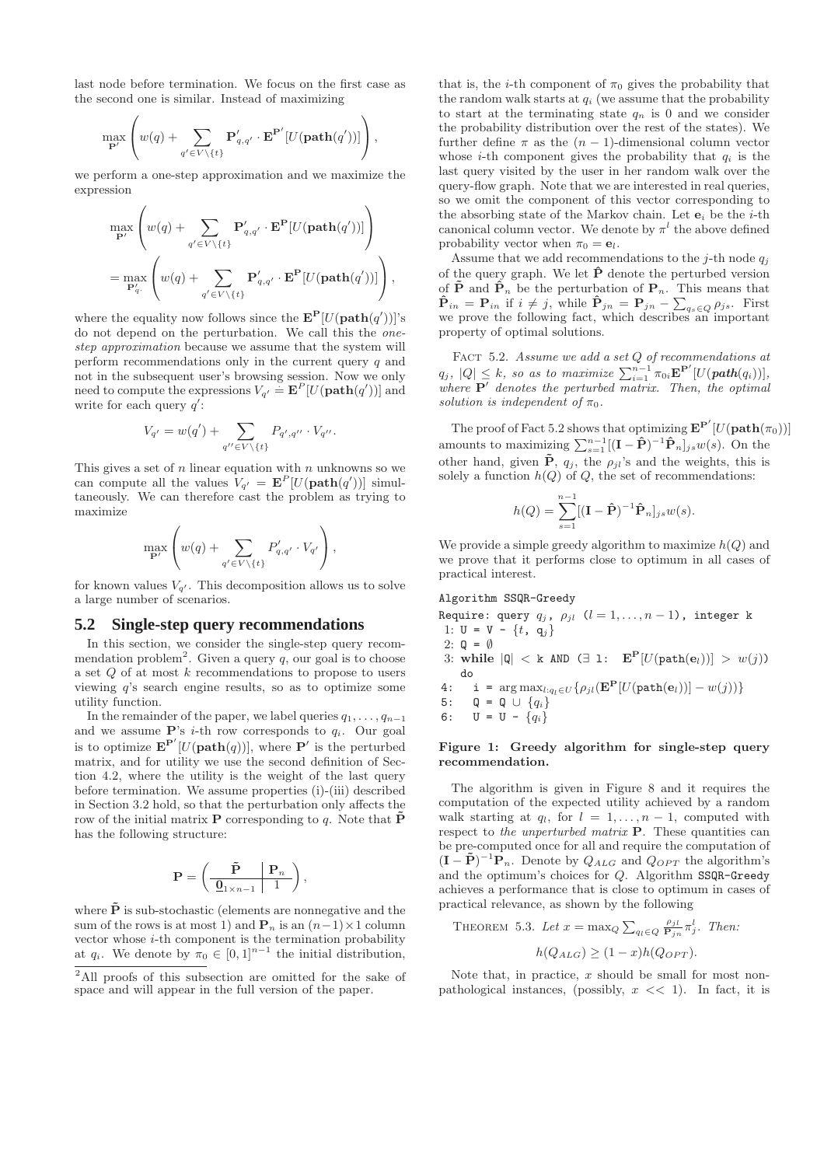last node before termination. We focus on the first case as the second one is similar. Instead of maximizing

$$
\max_{\mathbf{P}'} \left( w(q) + \sum_{q' \in V \setminus \{t\}} \mathbf{P}'_{q,q'} \cdot \mathbf{E}^{\mathbf{P}'}[U(\mathbf{path}(q'))] \right),\,
$$

we perform a one-step approximation and we maximize the expression

$$
\max_{\mathbf{P}'} \left( w(q) + \sum_{q' \in V \setminus \{t\}} \mathbf{P}'_{q,q'} \cdot \mathbf{E}^{\mathbf{P}} [U(\mathbf{path}(q'))] \right)
$$
  
= 
$$
\max_{\mathbf{P}'_{q}} \left( w(q) + \sum_{q' \in V \setminus \{t\}} \mathbf{P}'_{q,q'} \cdot \mathbf{E}^{\mathbf{P}} [U(\mathbf{path}(q'))] \right),
$$

where the equality now follows since the  $\mathbf{E}^{\mathbf{P}}[U(\mathbf{path}(q'))]$ 's do not depend on the perturbation. We call this the onestep approximation because we assume that the system will perform recommendations only in the current query q and not in the subsequent user's browsing session. Now we only need to compute the expressions  $V_{q'} \stackrel{\smile}{=} \mathbf{E}^P[U(\mathbf{path}(q'))]$  and write for each query  $q'$ :

$$
V_{q'} = w(q') + \sum_{q'' \in V \setminus \{t\}} P_{q',q''} \cdot V_{q''}.
$$

This gives a set of  $n$  linear equation with  $n$  unknowns so we can compute all the values  $V_{q'} = \mathbf{E}^{P}[U(\mathbf{path}(q'))]$  simultaneously. We can therefore cast the problem as trying to maximize

$$
\max_{\mathbf{P}'} \left( w(q) + \sum_{q' \in V \setminus \{t\}} P'_{q,q'} \cdot V_{q'} \right),
$$

for known values  $V_{q'}$ . This decomposition allows us to solve a large number of scenarios.

#### **5.2 Single-step query recommendations**

In this section, we consider the single-step query recommendation problem<sup>2</sup>. Given a query  $q$ , our goal is to choose a set Q of at most k recommendations to propose to users viewing q's search engine results, so as to optimize some utility function.

In the remainder of the paper, we label queries  $q_1, \ldots, q_{n-1}$ and we assume  $\mathbf{P}$ 's *i*-th row corresponds to  $q_i$ . Our goal is to optimize  $\mathbf{E}^{\mathbf{P}'}[U(\mathbf{path}(q))]$ , where  $\mathbf{P}'$  is the perturbed matrix, and for utility we use the second definition of Section 4.2, where the utility is the weight of the last query before termination. We assume properties (i)-(iii) described in Section 3.2 hold, so that the perturbation only affects the row of the initial matrix **P** corresponding to q. Note that  $\tilde{\mathbf{P}}$ has the following structure:

$$
\mathbf{P} = \left(\begin{array}{c|c}\tilde{\mathbf{P}} & \mathbf{P}_n \\ \hline \mathbf{0}_{1 \times n-1} & 1\end{array}\right),\,
$$

where  $\tilde{P}$  is sub-stochastic (elements are nonnegative and the sum of the rows is at most 1) and  $\mathbf{P}_n$  is an  $(n-1) \times 1$  column vector whose  $i$ -th component is the termination probability at  $q_i$ . We denote by  $\pi_0 \in [0,1]^{n-1}$  the initial distribution,

that is, the *i*-th component of  $\pi_0$  gives the probability that the random walk starts at  $q_i$  (we assume that the probability to start at the terminating state  $q_n$  is 0 and we consider the probability distribution over the rest of the states). We further define  $\pi$  as the  $(n-1)$ -dimensional column vector whose  $i$ -th component gives the probability that  $q_i$  is the last query visited by the user in her random walk over the query-flow graph. Note that we are interested in real queries, so we omit the component of this vector corresponding to the absorbing state of the Markov chain. Let  $e_i$  be the *i*-th canonical column vector. We denote by  $\pi^l$  the above defined probability vector when  $\pi_0 = \mathbf{e}_l$ .

Assume that we add recommendations to the j-th node  $q_i$ of the query graph. We let  $\hat{P}$  denote the perturbed version of  $\tilde{\mathbf{P}}$  and  $\tilde{\mathbf{P}}_n$  be the perturbation of  $\mathbf{P}_n$ . This means that  $\hat{\mathbf{P}}_{in} = \mathbf{P}_{in}$  if  $i \neq j$ , while  $\hat{\mathbf{P}}_{jn} = \mathbf{P}_{jn} - \sum_{q_s \in Q} \rho_{js}$ . First we prove the following fact, which describes an important property of optimal solutions.

FACT  $5.2.$  Assume we add a set  $Q$  of recommendations at  $q_j, |Q| \leq k$ , so as to maximize  $\sum_{i=1}^{n-1} \pi_{0i} \mathbf{E}^{\mathbf{P}'}[U(\mathbf{path}(q_i))],$ where  $P'$  denotes the perturbed matrix. Then, the optimal solution is independent of  $\pi_0$ .

The proof of Fact 5.2 shows that optimizing  $\mathbf{E}^{\mathbf{P}'}[U(\mathbf{path}(\pi_0))]$ amounts to maximizing  $\sum_{s=1}^{n-1} [(\mathbf{I} - \hat{\mathbf{P}})^{-1} \hat{\mathbf{P}}_n]_{js} w(s)$ . On the other hand, given  $\tilde{P}$ ,  $q_j$ , the  $\rho_{jl}$ 's and the weights, this is solely a function  $h(Q)$  of  $Q$ , the set of recommendations:

$$
h(Q) = \sum_{s=1}^{n-1} [(\mathbf{I} - \hat{\mathbf{P}})^{-1} \hat{\mathbf{P}}_n]_{js} w(s).
$$

We provide a simple greedy algorithm to maximize  $h(Q)$  and we prove that it performs close to optimum in all cases of practical interest.

Algorithm SSQR-Greedy

Require: query  $q_j$ ,  $\rho_{jl}$   $(l = 1, ..., n - 1)$ , integer k 1:  $U = V - \{t, q_j\}$ 2:  $\mathbf{Q} = \emptyset$ 3: while  $|\mathbb{Q}|$  < k AND ( $\exists$  1:  $\mathbf{E}^{\mathbf{P}}[U(\texttt{path}(\mathbf{e}_l))] > w(j)$ ) do

- 4: **i** =  $\arg \max_{l: q_l \in U} \{ \rho_{jl}(\mathbf{E}^{\mathbf{P}}[U(\texttt{path}(\mathbf{e}_l))] w(j)) \}$
- 5: Q = Q  $\cup$   $\{q_i\}$

$$
6: \quad U = U - \{q_i\}
$$

#### Figure 1: Greedy algorithm for single-step query recommendation.

The algorithm is given in Figure 8 and it requires the computation of the expected utility achieved by a random walk starting at  $q_l$ , for  $l = 1, ..., n - 1$ , computed with respect to the unperturbed matrix  $P$ . These quantities can be pre-computed once for all and require the computation of  $(\mathbf{I} - \tilde{\mathbf{P}})^{-1} \mathbf{P}_n$ . Denote by  $Q_{ALG}$  and  $Q_{OPT}$  the algorithm's and the optimum's choices for Q. Algorithm SSQR-Greedy achieves a performance that is close to optimum in cases of practical relevance, as shown by the following

THEOREM 5.3. Let  $x = \max_Q \sum_{q_l \in Q} \frac{\rho_{jl}}{\mathbf{P}_{ji}}$  $\frac{\rho_{jl}}{\mathbf{P}_{jn}}\pi_j^l$ . Then:

$$
h(Q_{ALG}) \ge (1-x)h(Q_{OPT}).
$$

Note that, in practice,  $x$  should be small for most nonpathological instances, (possibly,  $x \ll 1$ ). In fact, it is

<sup>&</sup>lt;sup>2</sup>All proofs of this subsection are omitted for the sake of space and will appear in the full version of the paper.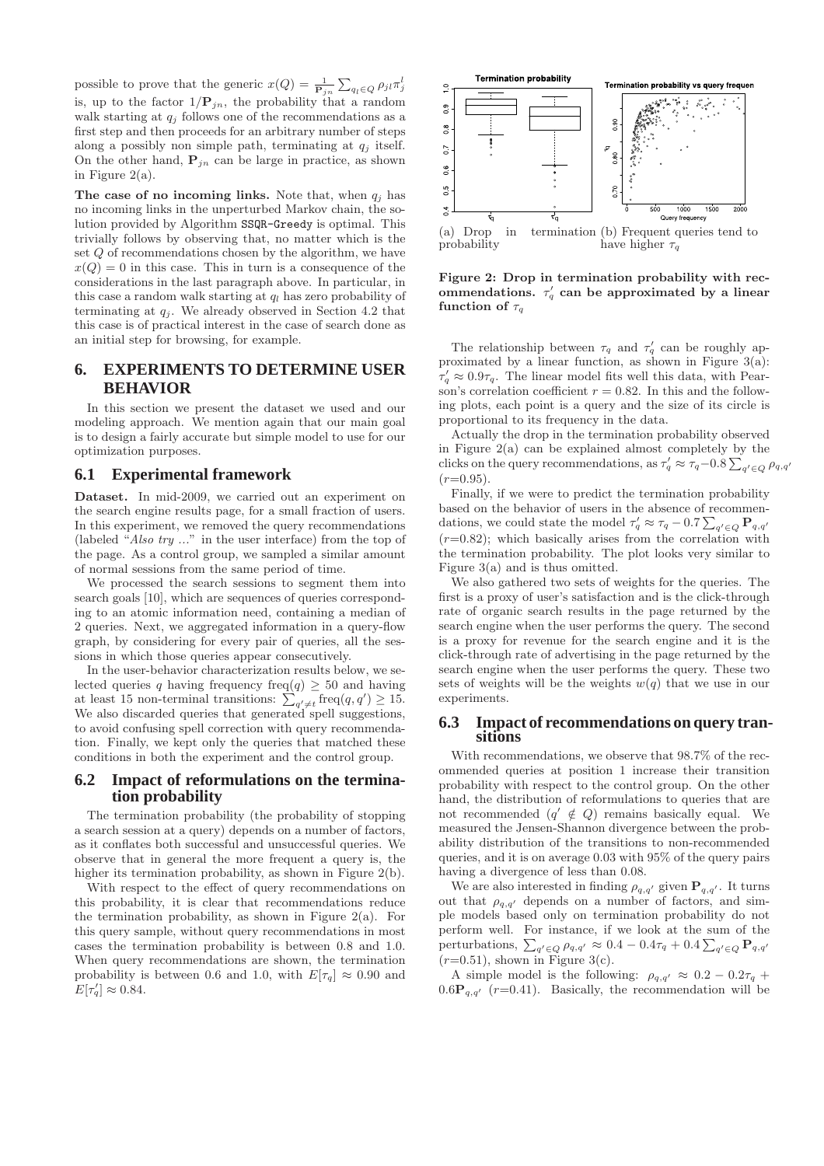possible to prove that the generic  $x(Q) = \frac{1}{P_{jn}} \sum_{q_l \in Q} \rho_{jl} \pi_j^l$ is, up to the factor  $1/\mathbf{P}_{jn}$ , the probability that a random walk starting at  $q_i$  follows one of the recommendations as a first step and then proceeds for an arbitrary number of steps along a possibly non simple path, terminating at  $q_i$  itself. On the other hand,  $P_{jn}$  can be large in practice, as shown in Figure 2(a).

The case of no incoming links. Note that, when  $q_j$  has no incoming links in the unperturbed Markov chain, the solution provided by Algorithm SSQR-Greedy is optimal. This trivially follows by observing that, no matter which is the set Q of recommendations chosen by the algorithm, we have  $x(Q) = 0$  in this case. This in turn is a consequence of the considerations in the last paragraph above. In particular, in this case a random walk starting at  $q_l$  has zero probability of terminating at  $q_i$ . We already observed in Section 4.2 that this case is of practical interest in the case of search done as an initial step for browsing, for example.

# **6. EXPERIMENTS TO DETERMINE USER BEHAVIOR**

In this section we present the dataset we used and our modeling approach. We mention again that our main goal is to design a fairly accurate but simple model to use for our optimization purposes.

#### **6.1 Experimental framework**

Dataset. In mid-2009, we carried out an experiment on the search engine results page, for a small fraction of users. In this experiment, we removed the query recommendations (labeled "Also try ..." in the user interface) from the top of the page. As a control group, we sampled a similar amount of normal sessions from the same period of time.

We processed the search sessions to segment them into search goals [10], which are sequences of queries corresponding to an atomic information need, containing a median of 2 queries. Next, we aggregated information in a query-flow graph, by considering for every pair of queries, all the sessions in which those queries appear consecutively.

In the user-behavior characterization results below, we selected queries q having frequency freq(q)  $\geq$  50 and having at least 15 non-terminal transitions:  $\sum_{q' \neq t} \text{freq}(q, q') \geq 15$ . We also discarded queries that generated spell suggestions, to avoid confusing spell correction with query recommendation. Finally, we kept only the queries that matched these conditions in both the experiment and the control group.

## **6.2 Impact of reformulations on the termination probability**

The termination probability (the probability of stopping a search session at a query) depends on a number of factors, as it conflates both successful and unsuccessful queries. We observe that in general the more frequent a query is, the higher its termination probability, as shown in Figure 2(b).

With respect to the effect of query recommendations on this probability, it is clear that recommendations reduce the termination probability, as shown in Figure 2(a). For this query sample, without query recommendations in most cases the termination probability is between 0.8 and 1.0. When query recommendations are shown, the termination probability is between 0.6 and 1.0, with  $E[\tau_q] \approx 0.90$  and  $E[\tau_q'] \approx 0.84.$ 



Figure 2: Drop in termination probability with recommendations.  $\tau'_q$  can be approximated by a linear function of  $\tau_q$ 

The relationship between  $\tau_q$  and  $\tau'_q$  can be roughly approximated by a linear function, as shown in Figure 3(a):  $\tau'_q \approx 0.9\tau_q$ . The linear model fits well this data, with Pearson's correlation coefficient  $r = 0.82$ . In this and the following plots, each point is a query and the size of its circle is proportional to its frequency in the data.

Actually the drop in the termination probability observed in Figure 2(a) can be explained almost completely by the clicks on the query recommendations, as  $\tau'_q \approx \tau_q - 0.8 \sum_{q' \in Q} \rho_{q,q'}$  $(r=0.95)$ .

Finally, if we were to predict the termination probability based on the behavior of users in the absence of recommendations, we could state the model  $\tau'_q \approx \tau_q - 0.7 \sum_{q' \in Q} \mathbf{P}_{q,q'}$  $(r=0.82)$ ; which basically arises from the correlation with the termination probability. The plot looks very similar to Figure 3(a) and is thus omitted.

We also gathered two sets of weights for the queries. The first is a proxy of user's satisfaction and is the click-through rate of organic search results in the page returned by the search engine when the user performs the query. The second is a proxy for revenue for the search engine and it is the click-through rate of advertising in the page returned by the search engine when the user performs the query. These two sets of weights will be the weights  $w(q)$  that we use in our experiments.

#### **6.3 Impact of recommendations on query transitions**

With recommendations, we observe that 98.7% of the recommended queries at position 1 increase their transition probability with respect to the control group. On the other hand, the distribution of reformulations to queries that are not recommended  $(q' \notin Q)$  remains basically equal. We measured the Jensen-Shannon divergence between the probability distribution of the transitions to non-recommended queries, and it is on average 0.03 with 95% of the query pairs having a divergence of less than 0.08.

We are also interested in finding  $\rho_{q,q'}$  given  $\mathbf{P}_{q,q'}$ . It turns out that  $\rho_{q,q'}$  depends on a number of factors, and simple models based only on termination probability do not perform well. For instance, if we look at the sum of the perturbations,  $\sum_{q' \in Q} \rho_{q,q'} \approx 0.4 - 0.4\tau_q + 0.4 \sum_{q' \in Q} \mathbf{P}_{q,q'}$  $(r=0.51)$ , shown in Figure 3(c).

A simple model is the following:  $\rho_{q,q'} \approx 0.2 - 0.2\tau_q +$  $0.6P_{q,q'}$  (r=0.41). Basically, the recommendation will be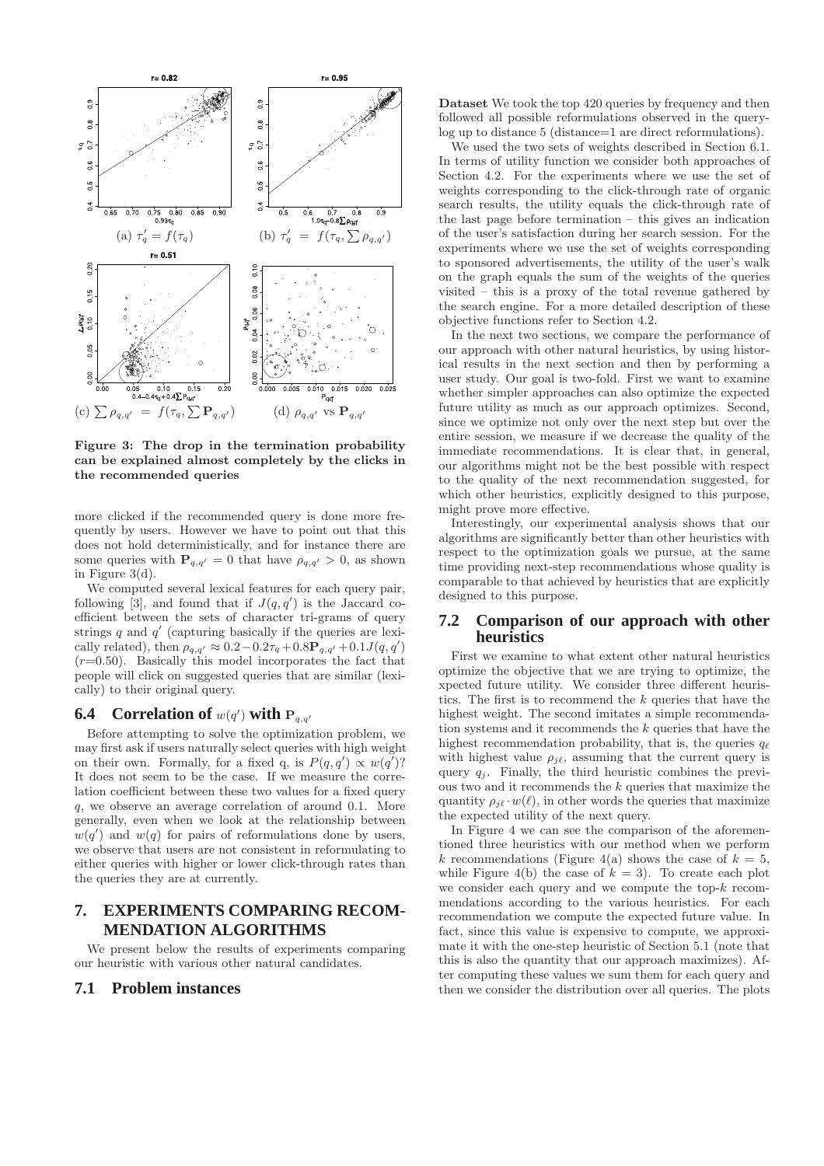

Figure 3: The drop in the termination probability can be explained almost completely by the clicks in the recommended queries

more clicked if the recommended query is done more frequently by users. However we have to point out that this does not hold deterministically, and for instance there are some queries with  $P_{q,q'} = 0$  that have  $\rho_{q,q'} > 0$ , as shown in Figure 3(d).

We computed several lexical features for each query pair, following [3], and found that if  $J(q, q')$  is the Jaccard coefficient between the sets of character tri-grams of query strings  $q$  and  $q'$  (capturing basically if the queries are lexically related), then  $\rho_{q,q'} \approx 0.2 - 0.2\tau_q + 0.8\mathbf{P}_{q,q'} + 0.1J(q,q')$  $(r=0.50)$ . Basically this model incorporates the fact that people will click on suggested queries that are similar (lexically) to their original query.

# **6.4** Correlation of  $w(q')$  with  $P_{q,q'}$

Before attempting to solve the optimization problem, we may first ask if users naturally select queries with high weight on their own. Formally, for a fixed q, is  $P(q, q') \propto w(q')$ ? It does not seem to be the case. If we measure the correlation coefficient between these two values for a fixed query q, we observe an average correlation of around 0.1. More generally, even when we look at the relationship between  $w(q')$  and  $w(q)$  for pairs of reformulations done by users, we observe that users are not consistent in reformulating to either queries with higher or lower click-through rates than the queries they are at currently.

# **7. EXPERIMENTS COMPARING RECOM-MENDATION ALGORITHMS**

We present below the results of experiments comparing our heuristic with various other natural candidates.

#### **7.1 Problem instances**

Dataset We took the top 420 queries by frequency and then followed all possible reformulations observed in the querylog up to distance 5 (distance=1 are direct reformulations).

We used the two sets of weights described in Section 6.1. In terms of utility function we consider both approaches of Section 4.2. For the experiments where we use the set of weights corresponding to the click-through rate of organic search results, the utility equals the click-through rate of the last page before termination – this gives an indication of the user's satisfaction during her search session. For the experiments where we use the set of weights corresponding to sponsored advertisements, the utility of the user's walk on the graph equals the sum of the weights of the queries visited – this is a proxy of the total revenue gathered by the search engine. For a more detailed description of these objective functions refer to Section 4.2.

In the next two sections, we compare the performance of our approach with other natural heuristics, by using historical results in the next section and then by performing a user study. Our goal is two-fold. First we want to examine whether simpler approaches can also optimize the expected future utility as much as our approach optimizes. Second, since we optimize not only over the next step but over the entire session, we measure if we decrease the quality of the immediate recommendations. It is clear that, in general, our algorithms might not be the best possible with respect to the quality of the next recommendation suggested, for which other heuristics, explicitly designed to this purpose, might prove more effective.

Interestingly, our experimental analysis shows that our algorithms are significantly better than other heuristics with respect to the optimization goals we pursue, at the same time providing next-step recommendations whose quality is comparable to that achieved by heuristics that are explicitly designed to this purpose.

## **7.2 Comparison of our approach with other heuristics**

First we examine to what extent other natural heuristics optimize the objective that we are trying to optimize, the xpected future utility. We consider three different heuristics. The first is to recommend the  $k$  queries that have the highest weight. The second imitates a simple recommendation systems and it recommends the k queries that have the highest recommendation probability, that is, the queries  $q_{\ell}$ with highest value  $\rho_{i\ell}$ , assuming that the current query is query  $q_i$ . Finally, the third heuristic combines the previous two and it recommends the  $k$  queries that maximize the quantity  $\rho_{i\ell} \cdot w(\ell)$ , in other words the queries that maximize the expected utility of the next query.

In Figure 4 we can see the comparison of the aforementioned three heuristics with our method when we perform k recommendations (Figure 4(a) shows the case of  $k = 5$ . while Figure 4(b) the case of  $k = 3$ ). To create each plot we consider each query and we compute the top- $k$  recommendations according to the various heuristics. For each recommendation we compute the expected future value. In fact, since this value is expensive to compute, we approximate it with the one-step heuristic of Section 5.1 (note that this is also the quantity that our approach maximizes). After computing these values we sum them for each query and then we consider the distribution over all queries. The plots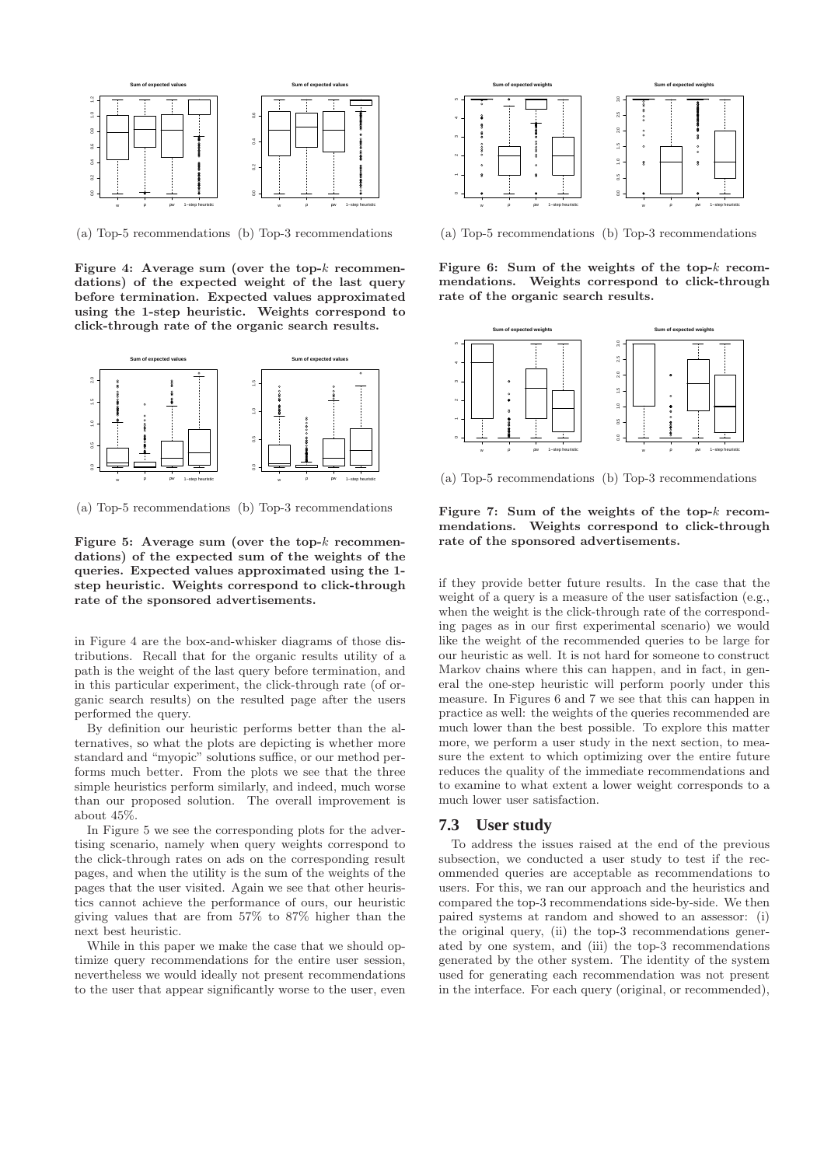

(a) Top-5 recommendations (b) Top-3 recommendations

Figure 4: Average sum (over the top- $k$  recommendations) of the expected weight of the last query before termination. Expected values approximated using the 1-step heuristic. Weights correspond to click-through rate of the organic search results.



(a) Top-5 recommendations (b) Top-3 recommendations

Figure 5: Average sum (over the top-k recommendations) of the expected sum of the weights of the queries. Expected values approximated using the 1 step heuristic. Weights correspond to click-through rate of the sponsored advertisements.

in Figure 4 are the box-and-whisker diagrams of those distributions. Recall that for the organic results utility of a path is the weight of the last query before termination, and in this particular experiment, the click-through rate (of organic search results) on the resulted page after the users performed the query.

By definition our heuristic performs better than the alternatives, so what the plots are depicting is whether more standard and "myopic" solutions suffice, or our method performs much better. From the plots we see that the three simple heuristics perform similarly, and indeed, much worse than our proposed solution. The overall improvement is about 45%.

In Figure 5 we see the corresponding plots for the advertising scenario, namely when query weights correspond to the click-through rates on ads on the corresponding result pages, and when the utility is the sum of the weights of the pages that the user visited. Again we see that other heuristics cannot achieve the performance of ours, our heuristic giving values that are from 57% to 87% higher than the next best heuristic.

While in this paper we make the case that we should optimize query recommendations for the entire user session, nevertheless we would ideally not present recommendations to the user that appear significantly worse to the user, even



(a) Top-5 recommendations (b) Top-3 recommendations

Figure 6: Sum of the weights of the top- $k$  recommendations. Weights correspond to click-through rate of the organic search results.



(a) Top-5 recommendations (b) Top-3 recommendations

#### Figure 7: Sum of the weights of the top- $k$  recommendations. Weights correspond to click-through rate of the sponsored advertisements.

if they provide better future results. In the case that the weight of a query is a measure of the user satisfaction (e.g., when the weight is the click-through rate of the corresponding pages as in our first experimental scenario) we would like the weight of the recommended queries to be large for our heuristic as well. It is not hard for someone to construct Markov chains where this can happen, and in fact, in general the one-step heuristic will perform poorly under this measure. In Figures 6 and 7 we see that this can happen in practice as well: the weights of the queries recommended are much lower than the best possible. To explore this matter more, we perform a user study in the next section, to measure the extent to which optimizing over the entire future reduces the quality of the immediate recommendations and to examine to what extent a lower weight corresponds to a much lower user satisfaction.

#### **7.3 User study**

To address the issues raised at the end of the previous subsection, we conducted a user study to test if the recommended queries are acceptable as recommendations to users. For this, we ran our approach and the heuristics and compared the top-3 recommendations side-by-side. We then paired systems at random and showed to an assessor: (i) the original query, (ii) the top-3 recommendations generated by one system, and (iii) the top-3 recommendations generated by the other system. The identity of the system used for generating each recommendation was not present in the interface. For each query (original, or recommended),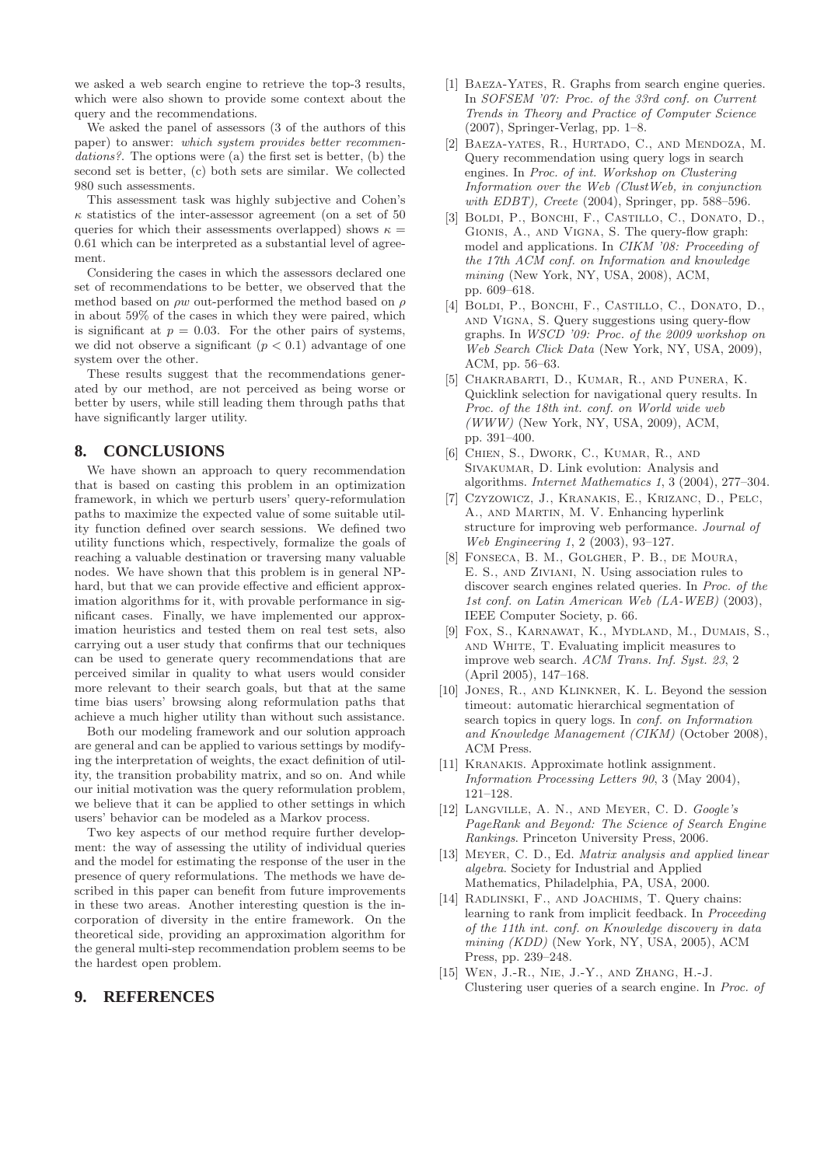we asked a web search engine to retrieve the top-3 results, which were also shown to provide some context about the query and the recommendations.

We asked the panel of assessors (3 of the authors of this paper) to answer: which system provides better recommendations?. The options were (a) the first set is better, (b) the second set is better, (c) both sets are similar. We collected 980 such assessments.

This assessment task was highly subjective and Cohen's  $\kappa$  statistics of the inter-assessor agreement (on a set of 50 queries for which their assessments overlapped) shows  $\kappa =$ 0.61 which can be interpreted as a substantial level of agreement.

Considering the cases in which the assessors declared one set of recommendations to be better, we observed that the method based on  $\rho w$  out-performed the method based on  $\rho$ in about 59% of the cases in which they were paired, which is significant at  $p = 0.03$ . For the other pairs of systems, we did not observe a significant  $(p < 0.1)$  advantage of one system over the other.

These results suggest that the recommendations generated by our method, are not perceived as being worse or better by users, while still leading them through paths that have significantly larger utility.

# **8. CONCLUSIONS**

We have shown an approach to query recommendation that is based on casting this problem in an optimization framework, in which we perturb users' query-reformulation paths to maximize the expected value of some suitable utility function defined over search sessions. We defined two utility functions which, respectively, formalize the goals of reaching a valuable destination or traversing many valuable nodes. We have shown that this problem is in general NPhard, but that we can provide effective and efficient approximation algorithms for it, with provable performance in significant cases. Finally, we have implemented our approximation heuristics and tested them on real test sets, also carrying out a user study that confirms that our techniques can be used to generate query recommendations that are perceived similar in quality to what users would consider more relevant to their search goals, but that at the same time bias users' browsing along reformulation paths that achieve a much higher utility than without such assistance.

Both our modeling framework and our solution approach are general and can be applied to various settings by modifying the interpretation of weights, the exact definition of utility, the transition probability matrix, and so on. And while our initial motivation was the query reformulation problem, we believe that it can be applied to other settings in which users' behavior can be modeled as a Markov process.

Two key aspects of our method require further development: the way of assessing the utility of individual queries and the model for estimating the response of the user in the presence of query reformulations. The methods we have described in this paper can benefit from future improvements in these two areas. Another interesting question is the incorporation of diversity in the entire framework. On the theoretical side, providing an approximation algorithm for the general multi-step recommendation problem seems to be the hardest open problem.

# **9. REFERENCES**

- [1] BAEZA-YATES, R. Graphs from search engine queries. In SOFSEM '07: Proc. of the 33rd conf. on Current Trends in Theory and Practice of Computer Science (2007), Springer-Verlag, pp. 1–8.
- [2] Baeza-yates, R., Hurtado, C., and Mendoza, M. Query recommendation using query logs in search engines. In Proc. of int. Workshop on Clustering Information over the Web (ClustWeb, in conjunction with EDBT), Creete (2004), Springer, pp. 588–596.
- [3] BOLDI, P., BONCHI, F., CASTILLO, C., DONATO, D., Gionis, A., and Vigna, S. The query-flow graph: model and applications. In CIKM '08: Proceeding of the 17th ACM conf. on Information and knowledge mining (New York, NY, USA, 2008), ACM, pp. 609–618.
- [4] BOLDI, P., BONCHI, F., CASTILLO, C., DONATO, D., and Vigna, S. Query suggestions using query-flow graphs. In WSCD '09: Proc. of the 2009 workshop on Web Search Click Data (New York, NY, USA, 2009), ACM, pp. 56–63.
- [5] Chakrabarti, D., Kumar, R., and Punera, K. Quicklink selection for navigational query results. In Proc. of the 18th int. conf. on World wide web  $(WWW)$  (New York, NY, USA, 2009), ACM, pp. 391–400.
- [6] Chien, S., Dwork, C., Kumar, R., and Sivakumar, D. Link evolution: Analysis and algorithms. Internet Mathematics 1, 3 (2004), 277–304.
- [7] Czyzowicz, J., Kranakis, E., Krizanc, D., Pelc, A., and Martin, M. V. Enhancing hyperlink structure for improving web performance. Journal of Web Engineering 1, 2 (2003), 93–127.
- [8] Fonseca, B. M., Golgher, P. B., de Moura, E. S., and Ziviani, N. Using association rules to discover search engines related queries. In Proc. of the 1st conf. on Latin American Web (LA-WEB) (2003), IEEE Computer Society, p. 66.
- [9] Fox, S., Karnawat, K., Mydland, M., Dumais, S., and White, T. Evaluating implicit measures to improve web search. ACM Trans. Inf. Syst. 23, 2 (April 2005), 147–168.
- [10] Jones, R., and Klinkner, K. L. Beyond the session timeout: automatic hierarchical segmentation of search topics in query logs. In conf. on Information and Knowledge Management (CIKM) (October 2008), ACM Press.
- [11] Kranakis. Approximate hotlink assignment. Information Processing Letters 90, 3 (May 2004), 121–128.
- [12] LANGVILLE, A. N., AND MEYER, C. D. Google's PageRank and Beyond: The Science of Search Engine Rankings. Princeton University Press, 2006.
- [13] MEYER, C. D., Ed. Matrix analysis and applied linear algebra. Society for Industrial and Applied Mathematics, Philadelphia, PA, USA, 2000.
- [14] Radlinski, F., and Joachims, T. Query chains: learning to rank from implicit feedback. In Proceeding of the 11th int. conf. on Knowledge discovery in data mining (KDD) (New York, NY, USA, 2005), ACM Press, pp. 239–248.
- [15] Wen, J.-R., Nie, J.-Y., and Zhang, H.-J. Clustering user queries of a search engine. In Proc. of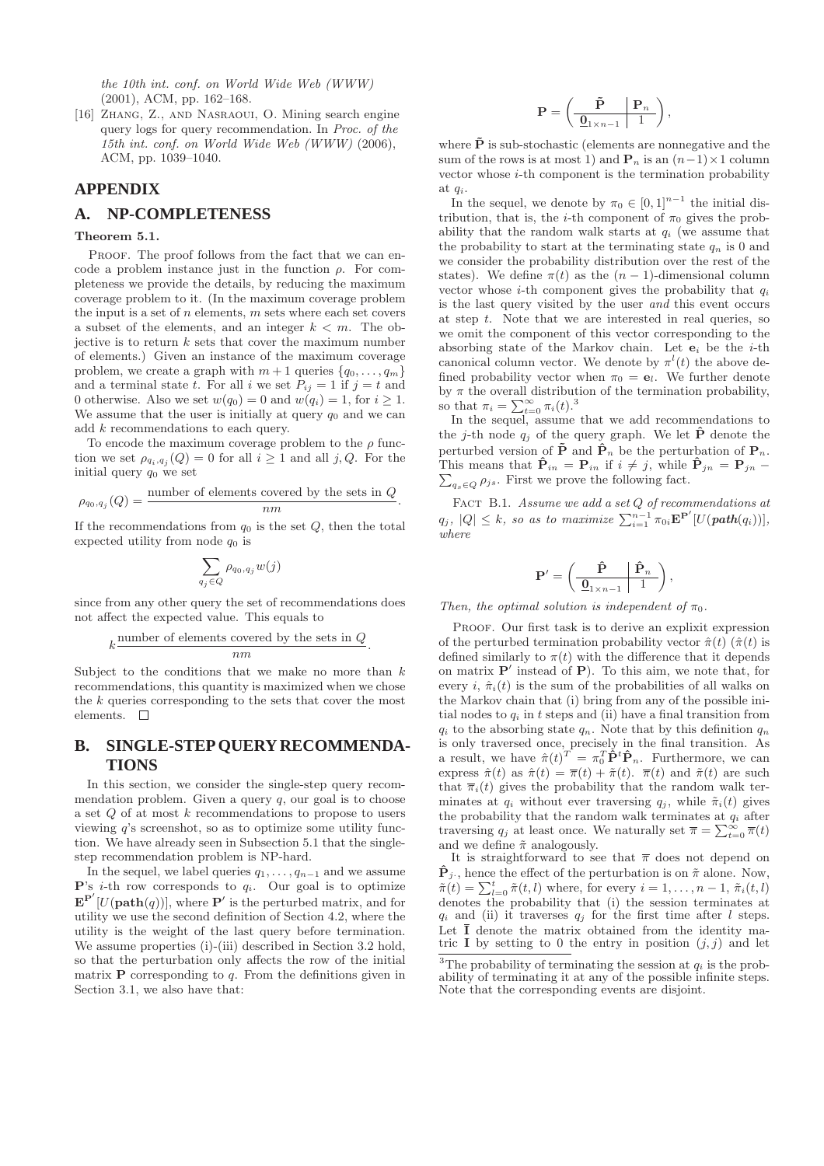the 10th int. conf. on World Wide Web (WWW) (2001), ACM, pp. 162–168.

[16] Zhang, Z., and Nasraoui, O. Mining search engine query logs for query recommendation. In Proc. of the 15th int. conf. on World Wide Web (WWW) (2006), ACM, pp. 1039–1040.

### **APPENDIX**

# **A. NP-COMPLETENESS**

#### Theorem 5.1.

PROOF. The proof follows from the fact that we can encode a problem instance just in the function  $\rho$ . For completeness we provide the details, by reducing the maximum coverage problem to it. (In the maximum coverage problem the input is a set of  $n$  elements,  $m$  sets where each set covers a subset of the elements, and an integer  $k < m$ . The objective is to return  $k$  sets that cover the maximum number of elements.) Given an instance of the maximum coverage problem, we create a graph with  $m + 1$  queries  $\{q_0, \ldots, q_m\}$ and a terminal state t. For all i we set  $P_{ij} = 1$  if  $j = t$  and 0 otherwise. Also we set  $w(q_0) = 0$  and  $w(q_i) = 1$ , for  $i \ge 1$ . We assume that the user is initially at query  $q_0$  and we can add k recommendations to each query.

To encode the maximum coverage problem to the  $\rho$  function we set  $\rho_{q_i,q_j}(Q) = 0$  for all  $i \geq 1$  and all j, Q. For the initial query  $q_0$  we set

$$
\rho_{q_0,q_j}(Q) = \frac{\text{number of elements covered by the sets in } Q}{nm}.
$$

If the recommendations from  $q_0$  is the set  $Q$ , then the total expected utility from node  $q_0$  is

$$
\sum_{q_j\in Q} \rho_{q_0,q_j} w(j)
$$

since from any other query the set of recommendations does not affect the expected value. This equals to

$$
k \frac{\text{number of elements covered by the sets in } Q}{nm}
$$

.

Subject to the conditions that we make no more than  $k$ recommendations, this quantity is maximized when we chose the  $k$  queries corresponding to the sets that cover the most elements.  $\square$ 

## **B. SINGLE-STEP QUERY RECOMMENDA-TIONS**

In this section, we consider the single-step query recommendation problem. Given a query  $q$ , our goal is to choose a set  $Q$  of at most  $k$  recommendations to propose to users viewing  $q$ 's screenshot, so as to optimize some utility function. We have already seen in Subsection 5.1 that the singlestep recommendation problem is NP-hard.

In the sequel, we label queries  $q_1, \ldots, q_{n-1}$  and we assume  $\mathbf{P}$ 's *i*-th row corresponds to  $q_i$ . Our goal is to optimize  $\mathbf{E}^{\mathbf{P}'}[U(\mathbf{path}(q))],$  where  $\mathbf{P}'$  is the perturbed matrix, and for utility we use the second definition of Section 4.2, where the utility is the weight of the last query before termination. We assume properties (i)-(iii) described in Section 3.2 hold, so that the perturbation only affects the row of the initial matrix  $P$  corresponding to  $q$ . From the definitions given in Section 3.1, we also have that:

$$
\mathbf{P} = \left(\begin{array}{c|c} \tilde{\mathbf{P}} & \mathbf{P}_n \\ \hline \mathbf{0}_{1 \times n-1} & 1 \end{array}\right),
$$

where  $\tilde{P}$  is sub-stochastic (elements are nonnegative and the sum of the rows is at most 1) and  $\mathbf{P}_n$  is an  $(n-1)\times 1$  column vector whose  $i$ -th component is the termination probability at  $q_i$ .

In the sequel, we denote by  $\pi_0 \in [0,1]^{n-1}$  the initial distribution, that is, the *i*-th component of  $\pi_0$  gives the probability that the random walk starts at  $q_i$  (we assume that the probability to start at the terminating state  $q_n$  is 0 and we consider the probability distribution over the rest of the states). We define  $\pi(t)$  as the  $(n-1)$ -dimensional column vector whose *i*-th component gives the probability that  $q_i$ is the last query visited by the user and this event occurs at step  $t$ . Note that we are interested in real queries, so we omit the component of this vector corresponding to the absorbing state of the Markov chain. Let  $e_i$  be the *i*-th canonical column vector. We denote by  $\pi^{l}(t)$  the above defined probability vector when  $\pi_0 = e_l$ . We further denote by  $\pi$  the overall distribution of the termination probability, so that  $\pi_i = \sum_{t=0}^{\infty} \pi_i(t).^3$ 

In the sequel, assume that we add recommendations to the *j*-th node  $q_i$  of the query graph. We let  $\hat{P}$  denote the perturbed version of  $\tilde{\mathbf{P}}$  and  $\hat{\mathbf{P}}_n$  be the perturbation of  $\mathbf{P}_n$ . This means that  $\hat{\mathbf{P}}_{in} = \mathbf{P}_{in}$  if  $i \neq j$ , while  $\hat{\mathbf{P}}_{jn} = \mathbf{P}_{jn}$  - $\sum_{q_s \in Q} \rho_{js}$ . First we prove the following fact.

FACT B.1. Assume we add a set  $Q$  of recommendations at  $q_j, |Q| \leq k$ , so as to maximize  $\sum_{i=1}^{n-1} \pi_{0i} \mathbf{E}^{\mathbf{P}'}[U(\mathbf{path}(q_i))],$ where

$$
\mathbf{P}^\prime = \left(\begin{array}{c|c} \hat{\mathbf{P}} & \hat{\mathbf{P}}_n \\ \hline \underline{\mathbf{0}}_{1 \times n-1} & 1 \end{array}\right),
$$

Then, the optimal solution is independent of  $\pi_0$ .

PROOF. Our first task is to derive an explixit expression of the perturbed termination probability vector  $\hat{\pi}(t)$  ( $\hat{\pi}(t)$ ) is defined similarly to  $\pi(t)$  with the difference that it depends on matrix  $\mathbf{P}'$  instead of  $\mathbf{P}$ ). To this aim, we note that, for every i,  $\hat{\pi}_i(t)$  is the sum of the probabilities of all walks on the Markov chain that (i) bring from any of the possible initial nodes to  $q_i$  in t steps and (ii) have a final transition from  $q_i$  to the absorbing state  $q_n$ . Note that by this definition  $q_n$ is only traversed once, precisely in the final transition. As a result, we have  $\hat{\pi}(t)^T = \pi_0^T \hat{P}^t \hat{P}_n$ . Furthermore, we can express  $\hat{\pi}(t)$  as  $\hat{\pi}(t) = \overline{\pi}(t) + \tilde{\pi}(t)$ .  $\overline{\pi}(t)$  and  $\tilde{\pi}(t)$  are such that  $\overline{\pi}_i(t)$  gives the probability that the random walk terminates at  $q_i$  without ever traversing  $q_j$ , while  $\tilde{\pi}_i(t)$  gives the probability that the random walk terminates at  $q_i$  after traversing  $q_j$  at least once. We naturally set  $\bar{\pi} = \sum_{t=0}^{\infty} \bar{\pi}(t)$ and we define  $\tilde{\pi}$  analogously.

It is straightforward to see that  $\bar{\pi}$  does not depend on  $\mathbf{\hat{P}}_j$ , hence the effect of the perturbation is on  $\tilde{\pi}$  alone. Now,  $\tilde{\pi}(t) = \sum_{l=0}^{t} \tilde{\pi}(t, l)$  where, for every  $i = 1, \ldots, n - 1, \tilde{\pi}_i(t, l)$ denotes the probability that (i) the session terminates at  $q_i$  and (ii) it traverses  $q_j$  for the first time after l steps. Let  $\overline{I}$  denote the matrix obtained from the identity matric I by setting to 0 the entry in position  $(i, j)$  and let

<sup>&</sup>lt;sup>3</sup>The probability of terminating the session at  $q_i$  is the probability of terminating it at any of the possible infinite steps. Note that the corresponding events are disjoint.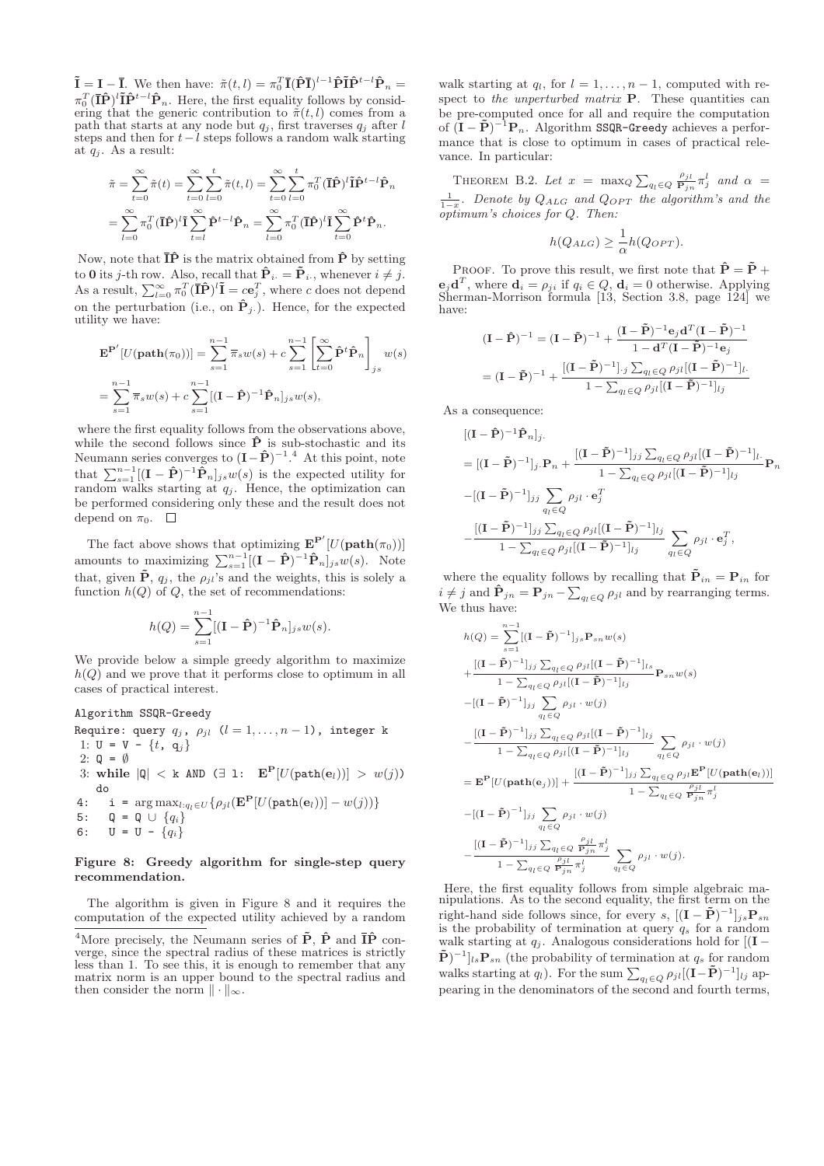$\tilde{\mathbf{I}} = \mathbf{I} - \overline{\mathbf{I}}$ . We then have:  $\tilde{\pi}(t, l) = \pi_0^T \overline{\mathbf{I}} (\hat{\mathbf{P}} \overline{\mathbf{I}})^{l-1} \hat{\mathbf{P}} \tilde{\mathbf{I}} \hat{\mathbf{P}}^{t-l} \hat{\mathbf{P}}_n =$  $\pi_0^T (\overline{\mathbf{I}} \hat{\mathbf{P}})^l \widetilde{\mathbf{I}} \hat{\mathbf{P}}^{t-l} \hat{\mathbf{P}}_n$ . Here, the first equality follows by considering that the generic contribution to  $\tilde{\pi}(t, l)$  comes from a path that starts at any node but  $q_j$ , first traverses  $q_j$  after l steps and then for  $t - l$  steps follows a random walk starting at  $q_i$ . As a result:

$$
\tilde{\pi} = \sum_{t=0}^{\infty} \tilde{\pi}(t) = \sum_{t=0}^{\infty} \sum_{l=0}^{t} \tilde{\pi}(t, l) = \sum_{t=0}^{\infty} \sum_{l=0}^{t} \pi_0^T (\overrightarrow{\mathbf{IP}})^l \tilde{\mathbf{IP}}^{t-l} \hat{\mathbf{P}}_n
$$

$$
= \sum_{l=0}^{\infty} \pi_0^T (\overrightarrow{\mathbf{IP}})^l \tilde{\mathbf{I}} \sum_{t=l}^{\infty} \hat{\mathbf{P}}^{t-l} \hat{\mathbf{P}}_n = \sum_{l=0}^{\infty} \pi_0^T (\overrightarrow{\mathbf{IP}})^l \tilde{\mathbf{I}} \sum_{t=0}^{\infty} \hat{\mathbf{P}}^t \hat{\mathbf{P}}_n.
$$

Now, note that  $\overline{IP}$  is the matrix obtained from  $\hat{P}$  by setting to **0** its j-th row. Also, recall that  $\hat{\mathbf{P}}_i = \tilde{\mathbf{P}}_i$ , whenever  $i \neq j$ . As a result,  $\sum_{l=0}^{\infty} \pi_0^T (\overline{I} \hat{P})^l \tilde{I} = c \mathbf{e}_j^T$ , where c does not depend on the perturbation (i.e., on  $\hat{\mathbf{P}}_j$ .). Hence, for the expected utility we have:

$$
\mathbf{E}^{\mathbf{P}'}[U(\mathbf{path}(\pi_0))] = \sum_{s=1}^{n-1} \overline{\pi}_s w(s) + c \sum_{s=1}^{n-1} \left[ \sum_{t=0}^{\infty} \hat{\mathbf{P}}^t \hat{\mathbf{P}}_n \right]_{js} w(s)
$$
  
= 
$$
\sum_{s=1}^{n-1} \overline{\pi}_s w(s) + c \sum_{s=1}^{n-1} [( \mathbf{I} - \hat{\mathbf{P}} )^{-1} \hat{\mathbf{P}}_n]_{js} w(s),
$$

where the first equality follows from the observations above. while the second follows since  $\hat{P}$  is sub-stochastic and its Neumann series converges to  $(I - \hat{P})^{-1}$ .<sup>4</sup> At this point, note that  $\sum_{s=1}^{n-1} [(\mathbf{I} - \hat{\mathbf{P}})^{-1} \hat{\mathbf{P}}_n]_{js} w(s)$  is the expected utility for random walks starting at  $q_j$ . Hence, the optimization can be performed considering only these and the result does not depend on  $\pi_0$ .  $\Box$ 

The fact above shows that optimizing  $\mathbf{E}^{\mathbf{P}'}[U(\mathbf{path}(\pi_0))]$ amounts to maximizing  $\sum_{s=1}^{n-1} [(\mathbf{I} - \hat{\mathbf{P}})^{-1} \hat{\mathbf{P}}_n]_{js} w(s)$ . Note that, given  $\tilde{\mathbf{P}}$ ,  $q_j$ , the  $\rho_{jl}$ 's and the weights, this is solely a function  $h(Q)$  of  $Q$ , the set of recommendations:

$$
h(Q) = \sum_{s=1}^{n-1} [(\mathbf{I} - \hat{\mathbf{P}})^{-1} \hat{\mathbf{P}}_n]_{js} w(s).
$$

We provide below a simple greedy algorithm to maximize  $h(Q)$  and we prove that it performs close to optimum in all cases of practical interest.

#### Algorithm SSQR-Greedy

Require: query  $q_j$ ,  $\rho_{jl}$   $(l = 1, ..., n - 1)$ , integer k 1:  $U = V - \{t, q_j\}$ 2:  $\mathsf{Q} = \emptyset$ 3: while  $|\mathbb{Q}|$  < k AND ( $\exists$  1:  $\mathbf{E}^{\mathbf{P}}[U(\texttt{path}(\mathbf{e}_l))] > w(j)$ ) do 4: **i** =  $\arg \max_{l: q_l \in U} \{ \rho_{jl}(\mathbf{E}^{\mathbf{P}}[U(\texttt{path}(\mathbf{e}_l))] - w(j)) \}$ 5: Q = Q  $\cup$   $\{q_i\}$ 6:  $U = U - \{q_i\}$ 

#### Figure 8: Greedy algorithm for single-step query recommendation.

The algorithm is given in Figure 8 and it requires the computation of the expected utility achieved by a random

walk starting at  $q_l$ , for  $l = 1, \ldots, n - 1$ , computed with respect to the unperturbed matrix  $P$ . These quantities can be pre-computed once for all and require the computation of  $(I - \tilde{P})^{-1}P_n$ . Algorithm SSQR-Greedy achieves a performance that is close to optimum in cases of practical relevance. In particular:

THEOREM B.2. Let  $x = \max_Q \sum_{q_l \in Q} \frac{\rho_{jl}}{\mathbf{P}_{j_l}}$  $\frac{\rho_{jl}}{\mathbf{P}_{jn}}\pi_{j}^{l}$  and  $\alpha =$  $\frac{1}{1-x}$ . Denote by  $Q_{ALG}$  and  $Q_{OPT}$  the algorithm's and the optimum's choices for Q. Then:

$$
h(Q_{ALG}) \geq \frac{1}{\alpha}h(Q_{OPT}).
$$

PROOF. To prove this result, we first note that  $\mathbf{\hat{P}} = \mathbf{\tilde{P}}$  +  $\mathbf{e}_j \mathbf{d}^T$ , where  $\mathbf{d}_i = \rho_{ji}$  if  $q_i \in Q$ ,  $\mathbf{d}_i = 0$  otherwise. Applying Sherman-Morrison formula  $[13,$  Section 3.8, page  $\overline{124}$  we have:

$$
(\mathbf{I} - \hat{\mathbf{P}})^{-1} = (\mathbf{I} - \tilde{\mathbf{P}})^{-1} + \frac{(\mathbf{I} - \tilde{\mathbf{P}})^{-1} \mathbf{e}_j \mathbf{d}^T (\mathbf{I} - \tilde{\mathbf{P}})^{-1}}{1 - \mathbf{d}^T (\mathbf{I} - \tilde{\mathbf{P}})^{-1} \mathbf{e}_j}
$$

$$
= (\mathbf{I} - \tilde{\mathbf{P}})^{-1} + \frac{[(\mathbf{I} - \tilde{\mathbf{P}})^{-1}]_{\cdot j} \sum_{q_l \in Q} \rho_{jl} [(\mathbf{I} - \tilde{\mathbf{P}})^{-1}]_{l}}{1 - \sum_{q_l \in Q} \rho_{jl} [(\mathbf{I} - \tilde{\mathbf{P}})^{-1}]_{lj}}
$$

As a consequence:

$$
\begin{split} &\, [(\mathbf{I}-\hat{\mathbf{P}})^{-1}\hat{\mathbf{P}}_n]_j. \\ &=[(\mathbf{I}-\tilde{\mathbf{P}})^{-1}]_j.\mathbf{P}_n+\frac{[(\mathbf{I}-\tilde{\mathbf{P}})^{-1}]_{jj}\sum_{q_l\in Q}\rho_{jl}[(\mathbf{I}-\tilde{\mathbf{P}})^{-1}]_{l.}}{1-\sum_{q_l\in Q}\rho_{jl}[(\mathbf{I}-\tilde{\mathbf{P}})^{-1}]_{lj}}\mathbf{P}_n \\ &-[(\mathbf{I}-\tilde{\mathbf{P}})^{-1}]_{jj}\sum_{q_l\in Q}\rho_{jl}\cdot\mathbf{e}_j^T \\ &-\frac{[(\mathbf{I}-\tilde{\mathbf{P}})^{-1}]_{jj}\sum_{q_l\in Q}\rho_{jl}[(\mathbf{I}-\tilde{\mathbf{P}})^{-1}]_{lj}}{1-\sum_{q_l\in Q}\rho_{jl}[(\mathbf{I}-\tilde{\mathbf{P}})^{-1}]_{lj}}\sum_{q_l\in Q}\rho_{jl}\cdot\mathbf{e}_j^T, \end{split}
$$

where the equality follows by recalling that  $\tilde{\mathbf{P}}_{in} = \mathbf{P}_{in}$  for  $i \neq j$  and  $\hat{\mathbf{P}}_{jn} = \mathbf{P}_{jn} - \sum_{q_l \in Q} \rho_{jl}$  and by rearranging terms. We thus have:

$$
h(Q) = \sum_{s=1}^{n-1} [(\mathbf{I} - \tilde{\mathbf{P}})^{-1}]_{js} \mathbf{P}_{sn} w(s)
$$
  
+ 
$$
\frac{[(\mathbf{I} - \tilde{\mathbf{P}})^{-1}]_{jj} \sum_{q_l \in Q} \rho_{jl} [(\mathbf{I} - \tilde{\mathbf{P}})^{-1}]_{ls}}{1 - \sum_{q_l \in Q} \rho_{jl} [(\mathbf{I} - \tilde{\mathbf{P}})^{-1}]_{lj}} \mathbf{P}_{sn} w(s)
$$
  
- 
$$
[ (\mathbf{I} - \tilde{\mathbf{P}})^{-1}]_{jj} \sum_{q_l \in Q} \rho_{jl} \cdot w(j)
$$
  
- 
$$
\frac{[(\mathbf{I} - \tilde{\mathbf{P}})^{-1}]_{jj} \sum_{q_l \in Q} \rho_{jl} [(\mathbf{I} - \tilde{\mathbf{P}})^{-1}]_{lj}}{1 - \sum_{q_l \in Q} \rho_{jl} [(\mathbf{I} - \tilde{\mathbf{P}})^{-1}]_{lj}} \sum_{q_l \in Q} \rho_{jl} \cdot w(j)
$$
  
= 
$$
\mathbf{E}^{\mathbf{P}} [U(\mathbf{path}(\mathbf{e}_j))] + \frac{[(\mathbf{I} - \tilde{\mathbf{P}})^{-1}]_{jj} \sum_{q_l \in Q} \rho_{jl} \mathbf{E}^{\mathbf{P}} [U(\mathbf{path}(\mathbf{e}_l))]]}{1 - \sum_{q_l \in Q} \frac{\rho_{jl}}{\mathbf{P}_{jn}^{l}} \pi_j^l}
$$
  
- 
$$
[ (\mathbf{I} - \tilde{\mathbf{P}})^{-1}]_{jj} \sum_{q_l \in Q} \rho_{jl} \cdot w(j)
$$
  
- 
$$
\frac{[(\mathbf{I} - \tilde{\mathbf{P}})^{-1}]_{jj} \sum_{q_l \in Q} \frac{\rho_{jl}}{\mathbf{P}_{jn}^{l}} \pi_j^l}{1 - \sum_{q_l \in Q} \frac{\rho_{jl}}{\mathbf{P}_{jn}^{l}} \pi_j^l} \sum_{q_l \in Q} \rho_{jl} \cdot w(j).
$$

Here, the first equality follows from simple algebraic manipulations. As to the second equality, the first term on the right-hand side follows since, for every s,  $[(\mathbf{I} - \tilde{\mathbf{P}})^{-1}]_{js} \mathbf{P}_{sn}$ is the probability of termination at query  $q_s$  for a random walk starting at  $q_j$ . Analogous considerations hold for  $[(I \tilde{\mathbf{P}}$ )<sup>-1</sup>]<sub>ls</sub>**P**<sub>sn</sub> (the probability of termination at  $q_s$  for random walks starting at  $q_l$ ). For the sum  $\sum_{q_l \in Q} \rho_{jl} [(\mathbf{I} - \tilde{\mathbf{P}})^{-1}]_{lj}$  appearing in the denominators of the second and fourth terms,

<sup>&</sup>lt;sup>4</sup>More precisely, the Neumann series of  $\tilde{P}$ ,  $\hat{P}$  and  $\overline{IP}$  converge, since the spectral radius of these matrices is strictly less than 1. To see this, it is enough to remember that any matrix norm is an upper bound to the spectral radius and then consider the norm  $\|\cdot\|_{\infty}$ .